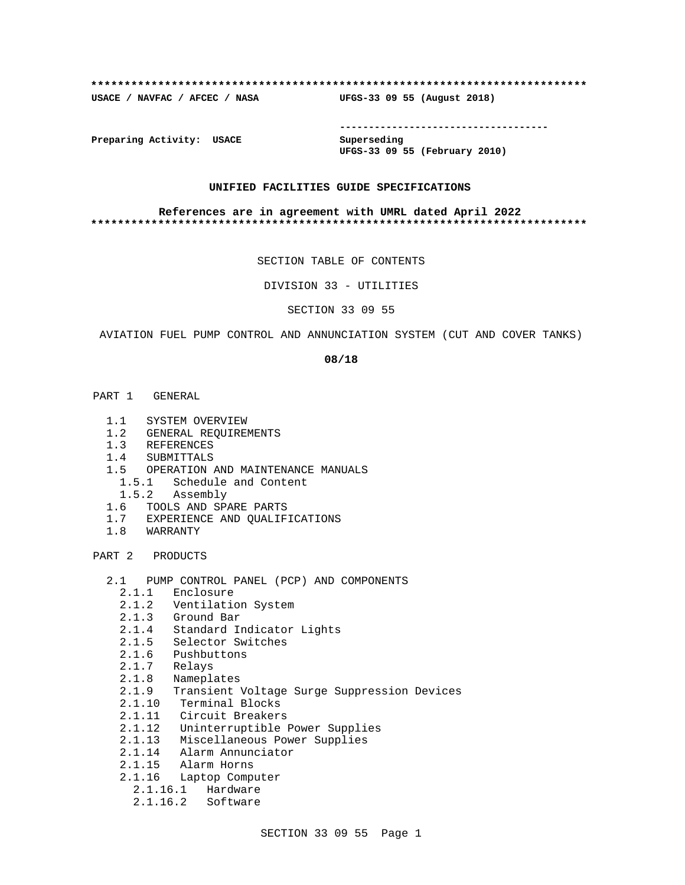#### **\*\*\*\*\*\*\*\*\*\*\*\*\*\*\*\*\*\*\*\*\*\*\*\*\*\*\*\*\*\*\*\*\*\*\*\*\*\*\*\*\*\*\*\*\*\*\*\*\*\*\*\*\*\*\*\*\*\*\*\*\*\*\*\*\*\*\*\*\*\*\*\*\*\***

**USACE / NAVFAC / AFCEC / NASA UFGS-33 09 55 (August 2018)**

**------------------------------------**

**Preparing Activity: USACE Superseding**

**UFGS-33 09 55 (February 2010)**

#### **UNIFIED FACILITIES GUIDE SPECIFICATIONS**

#### **References are in agreement with UMRL dated April 2022 \*\*\*\*\*\*\*\*\*\*\*\*\*\*\*\*\*\*\*\*\*\*\*\*\*\*\*\*\*\*\*\*\*\*\*\*\*\*\*\*\*\*\*\*\*\*\*\*\*\*\*\*\*\*\*\*\*\*\*\*\*\*\*\*\*\*\*\*\*\*\*\*\*\***

SECTION TABLE OF CONTENTS

DIVISION 33 - UTILITIES

SECTION 33 09 55

AVIATION FUEL PUMP CONTROL AND ANNUNCIATION SYSTEM (CUT AND COVER TANKS)

#### **08/18**

- PART 1 GENERAL
	- 1.1 SYSTEM OVERVIEW
	- 1.2 GENERAL REQUIREMENTS
	- 1.3 REFERENCES
	- 1.4 SUBMITTALS
	- 1.5 OPERATION AND MAINTENANCE MANUALS
		- 1.5.1 Schedule and Content
	- 1.5.2 Assembly
	- 1.6 TOOLS AND SPARE PARTS
	- 1.7 EXPERIENCE AND QUALIFICATIONS
	- 1.8 WARRANTY

PART 2 PRODUCTS

- 2.1 PUMP CONTROL PANEL (PCP) AND COMPONENTS
	- 2.1.1 Enclosure
	- 2.1.2 Ventilation System
	- 2.1.3 Ground Bar
	- 2.1.4 Standard Indicator Lights
	- 2.1.5 Selector Switches
	- 2.1.6 Pushbuttons
- 2.1.7 Relays
- 2.1.8 Nameplates
	- 2.1.9 Transient Voltage Surge Suppression Devices
	- 2.1.10 Terminal Blocks
	- 2.1.11 Circuit Breakers
	- 2.1.12 Uninterruptible Power Supplies
	- 2.1.13 Miscellaneous Power Supplies
	- 2.1.14 Alarm Annunciator
	- 2.1.15 Alarm Horns
	- 2.1.16 Laptop Computer
		- 2.1.16.1 Hardware
		- 2.1.16.2 Software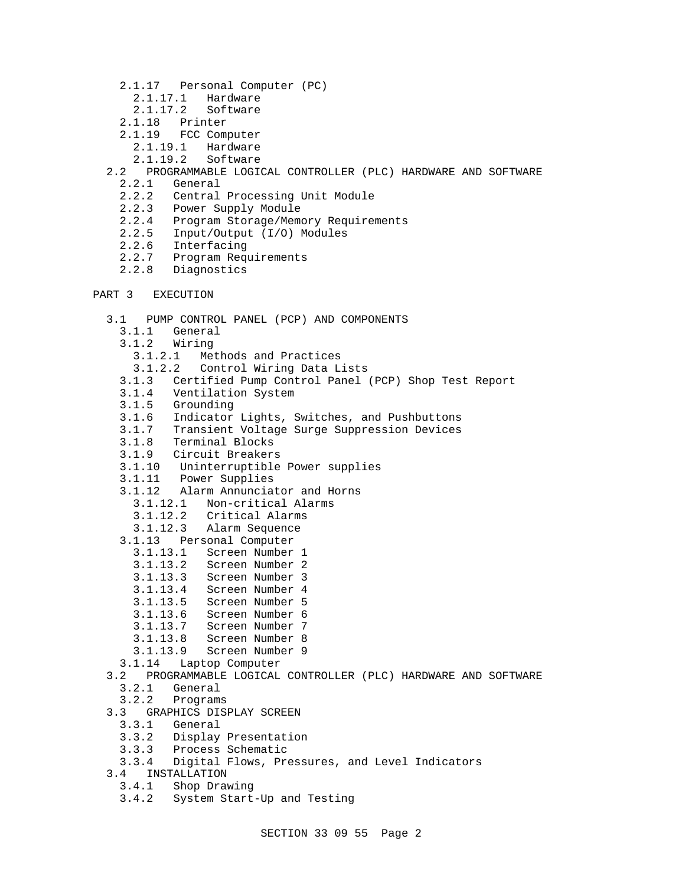- 2.1.17 Personal Computer (PC)
	- 2.1.17.1 Hardware
	- 2.1.17.2 Software
- 2.1.18 Printer
- 2.1.19 FCC Computer
	- 2.1.19.1 Hardware
	- 2.1.19.2 Software
- 2.2 PROGRAMMABLE LOGICAL CONTROLLER (PLC) HARDWARE AND SOFTWARE
	- 2.2.1 General
	- 2.2.2 Central Processing Unit Module
	- 2.2.3 Power Supply Module
	- 2.2.4 Program Storage/Memory Requirements
	- 2.2.5 Input/Output (I/O) Modules
	- 2.2.6 Interfacing<br>2.2.7 Program Reg
	- Program Requirements
	- 2.2.8 Diagnostics

```
PART 3 EXECUTION
```

```
 3.1 PUMP CONTROL PANEL (PCP) AND COMPONENTS
  3.1.1 General
  3.1.2 Wiring
    3.1.2.1 Methods and Practices
    3.1.2.2 Control Wiring Data Lists
  3.1.3 Certified Pump Control Panel (PCP) Shop Test Report
 3.1.4 Ventilation System
 3.1.5 Grounding
 3.1.6 Indicator Lights, Switches, and Pushbuttons
 3.1.7 Transient Voltage Surge Suppression Devices
 3.1.8 Terminal Blocks
 3.1.9 Circuit Breakers
 3.1.10 Uninterruptible Power supplies
 3.1.11 Power Supplies
 3.1.12 Alarm Annunciator and Horns
   3.1.12.1 Non-critical Alarms
   3.1.12.2 Critical Alarms
   3.1.12.3 Alarm Sequence
  3.1.13 Personal Computer
    3.1.13.1 Screen Number 1
    3.1.13.2 Screen Number 2
    3.1.13.3 Screen Number 3
   3.1.13.4 Screen Number 4
    3.1.13.5 Screen Number 5
    3.1.13.6 Screen Number 6
    3.1.13.7 Screen Number 7
    3.1.13.8 Screen Number 8
   3.1.13.9 Screen Number 9
 3.1.14 Laptop Computer
3.2 PROGRAMMABLE LOGICAL CONTROLLER (PLC) HARDWARE AND SOFTWARE
3.2.1 General<br>3.2.2 Program
        3.2.2 Programs
3.3 GRAPHICS DISPLAY SCREEN
  3.3.1 General
  3.3.2 Display Presentation
  3.3.3 Process Schematic
  3.3.4 Digital Flows, Pressures, and Level Indicators
3.4 INSTALLATION
  3.4.1 Shop Drawing
  3.4.2 System Start-Up and Testing
```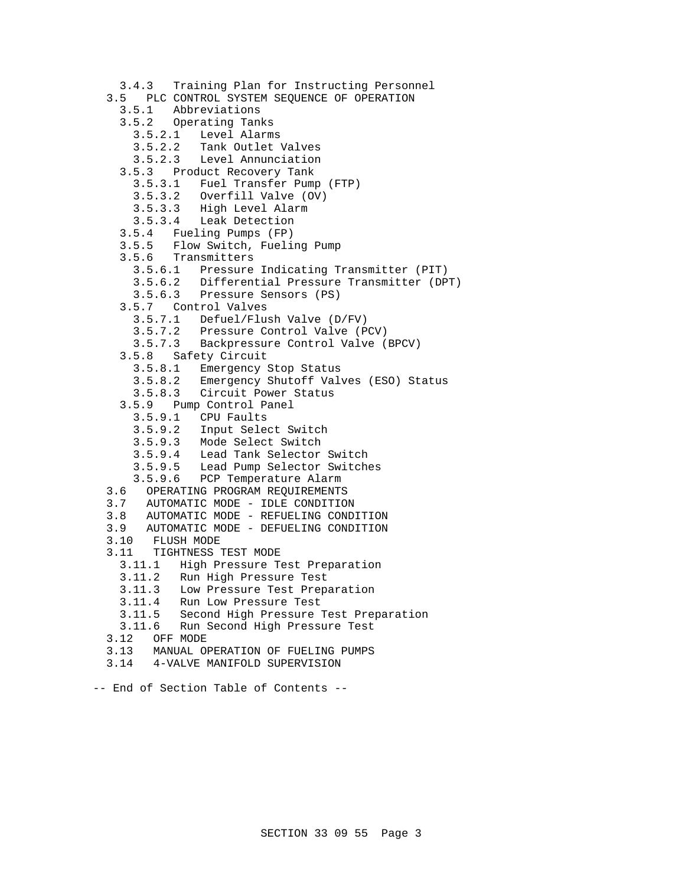```
 3.4.3 Training Plan for Instructing Personnel
3.5 PLC CONTROL SYSTEM SEQUENCE OF OPERATION<br>3.5.1 Abbreviations
         Abbreviations
   3.5.2 Operating Tanks
     3.5.2.1 Level Alarms
     3.5.2.2 Tank Outlet Valves
     3.5.2.3 Level Annunciation
   3.5.3 Product Recovery Tank
     3.5.3.1 Fuel Transfer Pump (FTP)
     3.5.3.2 Overfill Valve (OV)
     3.5.3.3 High Level Alarm
     3.5.3.4 Leak Detection
   3.5.4 Fueling Pumps (FP)
   3.5.5 Flow Switch, Fueling Pump
   3.5.6 Transmitters
     3.5.6.1 Pressure Indicating Transmitter (PIT)
     3.5.6.2 Differential Pressure Transmitter (DPT)
     3.5.6.3 Pressure Sensors (PS)
   3.5.7 Control Valves
     3.5.7.1 Defuel/Flush Valve (D/FV)
     3.5.7.2 Pressure Control Valve (PCV)
     3.5.7.3 Backpressure Control Valve (BPCV)
   3.5.8 Safety Circuit
     3.5.8.1 Emergency Stop Status
     3.5.8.2 Emergency Shutoff Valves (ESO) Status
     3.5.8.3 Circuit Power Status
   3.5.9 Pump Control Panel
     3.5.9.1 CPU Faults
     3.5.9.2 Input Select Switch
3.5.9.3 Mode Select Switch
3.5.9.4 Lead Tank Selector Switch
     3.5.9.5 Lead Pump Selector Switches
     3.5.9.6 PCP Temperature Alarm
 3.6 OPERATING PROGRAM REQUIREMENTS
 3.7 AUTOMATIC MODE - IDLE CONDITION
 3.8 AUTOMATIC MODE - REFUELING CONDITION
 3.9 AUTOMATIC MODE - DEFUELING CONDITION
 3.10 FLUSH MODE
 3.11 TIGHTNESS TEST MODE
   3.11.1 High Pressure Test Preparation
   3.11.2 Run High Pressure Test
   3.11.3 Low Pressure Test Preparation
   3.11.4 Run Low Pressure Test
   3.11.5 Second High Pressure Test Preparation
   3.11.6 Run Second High Pressure Test
 3.12 OFF MODE
 3.13 MANUAL OPERATION OF FUELING PUMPS
 3.14 4-VALVE MANIFOLD SUPERVISION
```

```
-- End of Section Table of Contents --
```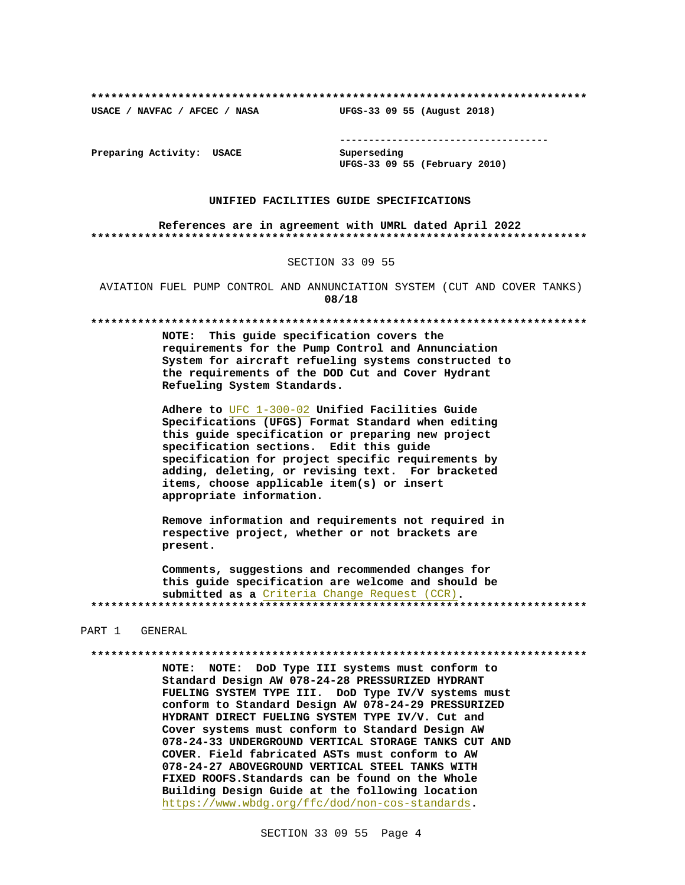**\*\*\*\*\*\*\*\*\*\*\*\*\*\*\*\*\*\*\*\*\*\*\*\*\*\*\*\*\*\*\*\*\*\*\*\*\*\*\*\*\*\*\*\*\*\*\*\*\*\*\*\*\*\*\*\*\*\*\*\*\*\*\*\*\*\*\*\*\*\*\*\*\*\***

**USACE / NAVFAC / AFCEC / NASA UFGS-33 09 55 (August 2018)**

**------------------------------------**

**Preparing Activity: USACE Superseding**

**UFGS-33 09 55 (February 2010)**

#### **UNIFIED FACILITIES GUIDE SPECIFICATIONS**

**References are in agreement with UMRL dated April 2022 \*\*\*\*\*\*\*\*\*\*\*\*\*\*\*\*\*\*\*\*\*\*\*\*\*\*\*\*\*\*\*\*\*\*\*\*\*\*\*\*\*\*\*\*\*\*\*\*\*\*\*\*\*\*\*\*\*\*\*\*\*\*\*\*\*\*\*\*\*\*\*\*\*\***

#### SECTION 33 09 55

AVIATION FUEL PUMP CONTROL AND ANNUNCIATION SYSTEM (CUT AND COVER TANKS) **08/18**

#### **\*\*\*\*\*\*\*\*\*\*\*\*\*\*\*\*\*\*\*\*\*\*\*\*\*\*\*\*\*\*\*\*\*\*\*\*\*\*\*\*\*\*\*\*\*\*\*\*\*\*\*\*\*\*\*\*\*\*\*\*\*\*\*\*\*\*\*\*\*\*\*\*\*\***

**NOTE: This guide specification covers the requirements for the Pump Control and Annunciation System for aircraft refueling systems constructed to the requirements of the DOD Cut and Cover Hydrant Refueling System Standards.**

**Adhere to** UFC 1-300-02 **Unified Facilities Guide Specifications (UFGS) Format Standard when editing this guide specification or preparing new project specification sections. Edit this guide specification for project specific requirements by adding, deleting, or revising text. For bracketed items, choose applicable item(s) or insert appropriate information.**

**Remove information and requirements not required in respective project, whether or not brackets are present.**

**Comments, suggestions and recommended changes for this guide specification are welcome and should be submitted as a** Criteria Change Request (CCR)**. \*\*\*\*\*\*\*\*\*\*\*\*\*\*\*\*\*\*\*\*\*\*\*\*\*\*\*\*\*\*\*\*\*\*\*\*\*\*\*\*\*\*\*\*\*\*\*\*\*\*\*\*\*\*\*\*\*\*\*\*\*\*\*\*\*\*\*\*\*\*\*\*\*\***

#### PART 1 GENERAL

#### **\*\*\*\*\*\*\*\*\*\*\*\*\*\*\*\*\*\*\*\*\*\*\*\*\*\*\*\*\*\*\*\*\*\*\*\*\*\*\*\*\*\*\*\*\*\*\*\*\*\*\*\*\*\*\*\*\*\*\*\*\*\*\*\*\*\*\*\*\*\*\*\*\*\***

**NOTE: NOTE: DoD Type III systems must conform to Standard Design AW 078-24-28 PRESSURIZED HYDRANT FUELING SYSTEM TYPE III. DoD Type IV/V systems must conform to Standard Design AW 078-24-29 PRESSURIZED HYDRANT DIRECT FUELING SYSTEM TYPE IV/V. Cut and Cover systems must conform to Standard Design AW 078-24-33 UNDERGROUND VERTICAL STORAGE TANKS CUT AND COVER. Field fabricated ASTs must conform to AW 078-24-27 ABOVEGROUND VERTICAL STEEL TANKS WITH FIXED ROOFS.Standards can be found on the Whole Building Design Guide at the following location** https://www.wbdg.org/ffc/dod/non-cos-standards**.**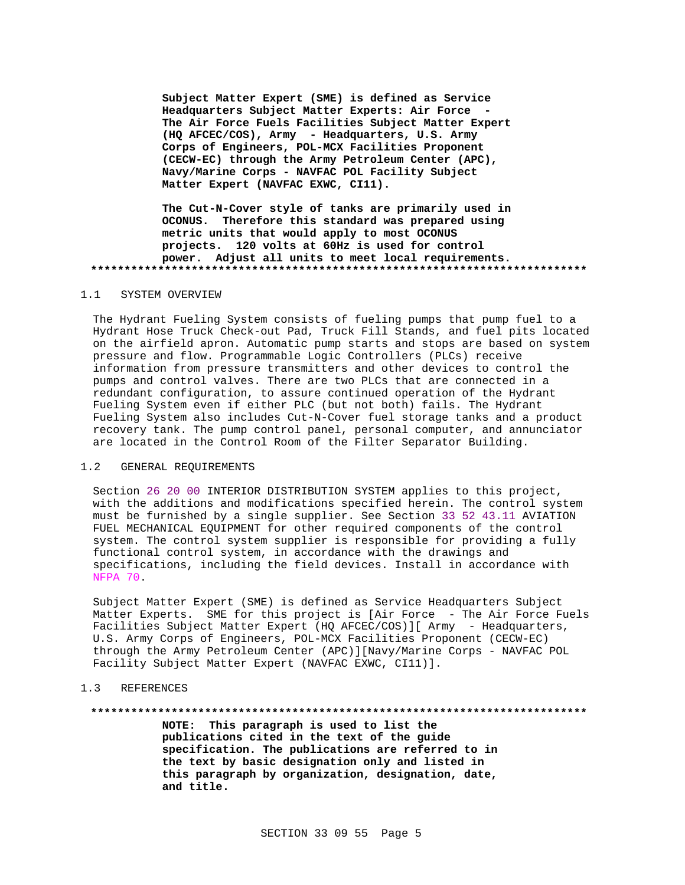**Subject Matter Expert (SME) is defined as Service Headquarters Subject Matter Experts: Air Force - The Air Force Fuels Facilities Subject Matter Expert (HQ AFCEC/COS), Army - Headquarters, U.S. Army Corps of Engineers, POL-MCX Facilities Proponent (CECW-EC) through the Army Petroleum Center (APC), Navy/Marine Corps - NAVFAC POL Facility Subject Matter Expert (NAVFAC EXWC, CI11).**

**The Cut-N-Cover style of tanks are primarily used in OCONUS. Therefore this standard was prepared using metric units that would apply to most OCONUS projects. 120 volts at 60Hz is used for control power. Adjust all units to meet local requirements. \*\*\*\*\*\*\*\*\*\*\*\*\*\*\*\*\*\*\*\*\*\*\*\*\*\*\*\*\*\*\*\*\*\*\*\*\*\*\*\*\*\*\*\*\*\*\*\*\*\*\*\*\*\*\*\*\*\*\*\*\*\*\*\*\*\*\*\*\*\*\*\*\*\***

#### 1.1 SYSTEM OVERVIEW

The Hydrant Fueling System consists of fueling pumps that pump fuel to a Hydrant Hose Truck Check-out Pad, Truck Fill Stands, and fuel pits located on the airfield apron. Automatic pump starts and stops are based on system pressure and flow. Programmable Logic Controllers (PLCs) receive information from pressure transmitters and other devices to control the pumps and control valves. There are two PLCs that are connected in a redundant configuration, to assure continued operation of the Hydrant Fueling System even if either PLC (but not both) fails. The Hydrant Fueling System also includes Cut-N-Cover fuel storage tanks and a product recovery tank. The pump control panel, personal computer, and annunciator are located in the Control Room of the Filter Separator Building.

#### 1.2 GENERAL REQUIREMENTS

Section 26 20 00 INTERIOR DISTRIBUTION SYSTEM applies to this project, with the additions and modifications specified herein. The control system must be furnished by a single supplier. See Section 33 52 43.11 AVIATION FUEL MECHANICAL EQUIPMENT for other required components of the control system. The control system supplier is responsible for providing a fully functional control system, in accordance with the drawings and specifications, including the field devices. Install in accordance with NFPA 70.

Subject Matter Expert (SME) is defined as Service Headquarters Subject Matter Experts. SME for this project is [Air Force - The Air Force Fuels Facilities Subject Matter Expert (HQ AFCEC/COS)][ Army - Headquarters, U.S. Army Corps of Engineers, POL-MCX Facilities Proponent (CECW-EC) through the Army Petroleum Center (APC)][Navy/Marine Corps - NAVFAC POL Facility Subject Matter Expert (NAVFAC EXWC, CI11)].

### 1.3 REFERENCES

**\*\*\*\*\*\*\*\*\*\*\*\*\*\*\*\*\*\*\*\*\*\*\*\*\*\*\*\*\*\*\*\*\*\*\*\*\*\*\*\*\*\*\*\*\*\*\*\*\*\*\*\*\*\*\*\*\*\*\*\*\*\*\*\*\*\*\*\*\*\*\*\*\*\***

**NOTE: This paragraph is used to list the publications cited in the text of the guide specification. The publications are referred to in the text by basic designation only and listed in this paragraph by organization, designation, date, and title.**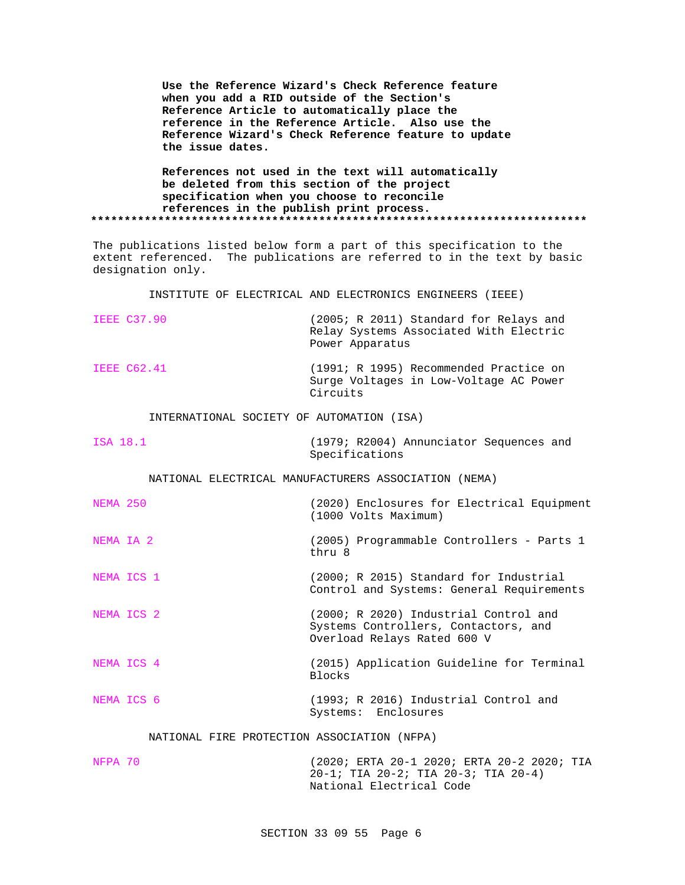**Use the Reference Wizard's Check Reference feature when you add a RID outside of the Section's Reference Article to automatically place the reference in the Reference Article. Also use the Reference Wizard's Check Reference feature to update the issue dates.**

**References not used in the text will automatically be deleted from this section of the project specification when you choose to reconcile references in the publish print process. \*\*\*\*\*\*\*\*\*\*\*\*\*\*\*\*\*\*\*\*\*\*\*\*\*\*\*\*\*\*\*\*\*\*\*\*\*\*\*\*\*\*\*\*\*\*\*\*\*\*\*\*\*\*\*\*\*\*\*\*\*\*\*\*\*\*\*\*\*\*\*\*\*\***

The publications listed below form a part of this specification to the extent referenced. The publications are referred to in the text by basic designation only.

INSTITUTE OF ELECTRICAL AND ELECTRONICS ENGINEERS (IEEE)

| <b>IEEE C37.90</b>                        | (2005; R 2011) Standard for Relays and<br>Relay Systems Associated With Electric<br>Power Apparatus |
|-------------------------------------------|-----------------------------------------------------------------------------------------------------|
| <b>IEEE C62.41</b>                        | (1991; R 1995) Recommended Practice on<br>Surge Voltages in Low-Voltage AC Power<br>Circuits        |
| INTERNATIONAL SOCIETY OF AUTOMATION (ISA) |                                                                                                     |
| ISA 18.1                                  | (1979; R2004) Annunciator Sequences and                                                             |

Specifications

NATIONAL ELECTRICAL MANUFACTURERS ASSOCIATION (NEMA)

| NEMA 250  |            | (2020) Enclosures for Electrical Equipment<br>(1000 Volts Maximum)                                           |
|-----------|------------|--------------------------------------------------------------------------------------------------------------|
| NEMA IA 2 |            | (2005) Programmable Controllers - Parts 1<br>thru 8                                                          |
|           | NEMA ICS 1 | (2000; R 2015) Standard for Industrial<br>Control and Systems: General Requirements                          |
|           | NEMA ICS 2 | (2000; R 2020) Industrial Control and<br>Systems Controllers, Contactors, and<br>Overload Relays Rated 600 V |
|           | NEMA ICS 4 | (2015) Application Guideline for Terminal<br><b>Blocks</b>                                                   |
|           | NEMA ICS 6 | (1993; R 2016) Industrial Control and<br>Systems: Enclosures                                                 |

#### NATIONAL FIRE PROTECTION ASSOCIATION (NFPA)

| NFPA 70 | (2020; ERTA 20-1 2020; ERTA 20-2 2020; TIA |
|---------|--------------------------------------------|
|         | 20-1; TIA 20-2; TIA 20-3; TIA 20-4)        |
|         | National Electrical Code                   |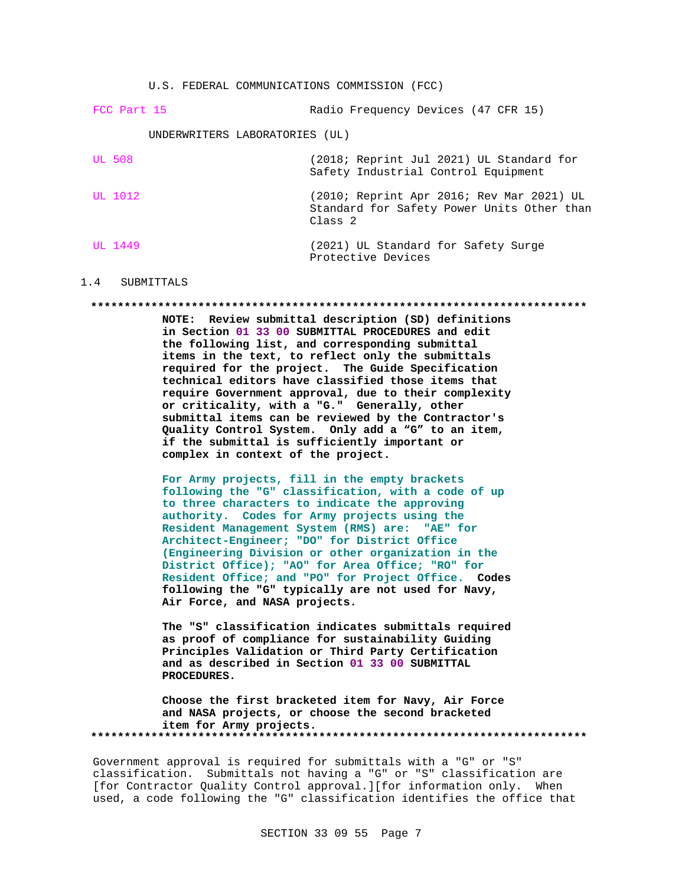U.S. FEDERAL COMMUNICATIONS COMMISSION (FCC)

| FCC Part 15                    | Radio Frequency Devices (47 CFR 15)                                                                           |
|--------------------------------|---------------------------------------------------------------------------------------------------------------|
| UNDERWRITERS LABORATORIES (UL) |                                                                                                               |
| UL 508                         | (2018; Reprint Jul 2021) UL Standard for<br>Safety Industrial Control Equipment                               |
| UL 1012                        | (2010; Reprint Apr 2016; Rev Mar 2021) UL<br>Standard for Safety Power Units Other than<br>Class <sub>2</sub> |
| UL 1449                        | (2021) UL Standard for Safety Surge<br>Protective Devices                                                     |

#### 1.4 SUBMITTALS

#### **\*\*\*\*\*\*\*\*\*\*\*\*\*\*\*\*\*\*\*\*\*\*\*\*\*\*\*\*\*\*\*\*\*\*\*\*\*\*\*\*\*\*\*\*\*\*\*\*\*\*\*\*\*\*\*\*\*\*\*\*\*\*\*\*\*\*\*\*\*\*\*\*\*\***

**NOTE: Review submittal description (SD) definitions in Section 01 33 00 SUBMITTAL PROCEDURES and edit the following list, and corresponding submittal items in the text, to reflect only the submittals required for the project. The Guide Specification technical editors have classified those items that require Government approval, due to their complexity or criticality, with a "G." Generally, other submittal items can be reviewed by the Contractor's Quality Control System. Only add a "G" to an item, if the submittal is sufficiently important or complex in context of the project.**

**For Army projects, fill in the empty brackets following the "G" classification, with a code of up to three characters to indicate the approving authority. Codes for Army projects using the Resident Management System (RMS) are: "AE" for Architect-Engineer; "DO" for District Office (Engineering Division or other organization in the District Office); "AO" for Area Office; "RO" for Resident Office; and "PO" for Project Office. Codes following the "G" typically are not used for Navy, Air Force, and NASA projects.**

**The "S" classification indicates submittals required as proof of compliance for sustainability Guiding Principles Validation or Third Party Certification and as described in Section 01 33 00 SUBMITTAL PROCEDURES.**

**Choose the first bracketed item for Navy, Air Force and NASA projects, or choose the second bracketed item for Army projects. \*\*\*\*\*\*\*\*\*\*\*\*\*\*\*\*\*\*\*\*\*\*\*\*\*\*\*\*\*\*\*\*\*\*\*\*\*\*\*\*\*\*\*\*\*\*\*\*\*\*\*\*\*\*\*\*\*\*\*\*\*\*\*\*\*\*\*\*\*\*\*\*\*\***

Government approval is required for submittals with a "G" or "S" classification. Submittals not having a "G" or "S" classification are [for Contractor Quality Control approval.][for information only. When used, a code following the "G" classification identifies the office that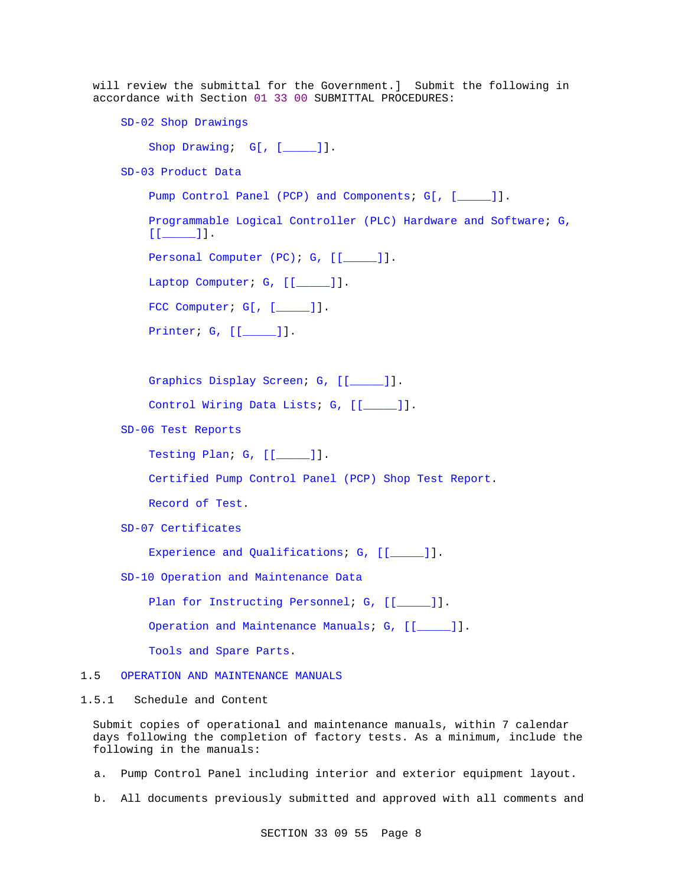will review the submittal for the Government.] Submit the following in accordance with Section 01 33 00 SUBMITTAL PROCEDURES:

SD-02 Shop Drawings

Shop Drawing; G[, [\_\_\_\_]].

SD-03 Product Data

Pump Control Panel (PCP) and Components; G[, [\_\_\_\_]].

Programmable Logical Controller (PLC) Hardware and Software; G,  $[$ [ $]$   $]$ ].

Personal Computer (PC); G, [[\_\_\_\_\_]].

Laptop Computer; G, [[\_\_\_\_\_]].

FCC Computer; G[, [\_\_\_\_]].

Printer; G, [[\_\_\_\_\_]].

Graphics Display Screen; G, [[\_\_\_\_\_]].

Control Wiring Data Lists; G, [[\_\_\_\_\_]].

SD-06 Test Reports

Testing Plan; G, [[\_\_\_\_\_]].

Certified Pump Control Panel (PCP) Shop Test Report.

Record of Test.

SD-07 Certificates

Experience and Qualifications; G, [[\_\_\_\_]].

SD-10 Operation and Maintenance Data

Plan for Instructing Personnel; G, [[ $\qquad$ ]].

Operation and Maintenance Manuals; G, [[\_\_\_\_]].

Tools and Spare Parts.

#### 1.5 OPERATION AND MAINTENANCE MANUALS

### 1.5.1 Schedule and Content

Submit copies of operational and maintenance manuals, within 7 calendar days following the completion of factory tests. As a minimum, include the following in the manuals:

- a. Pump Control Panel including interior and exterior equipment layout.
- b. All documents previously submitted and approved with all comments and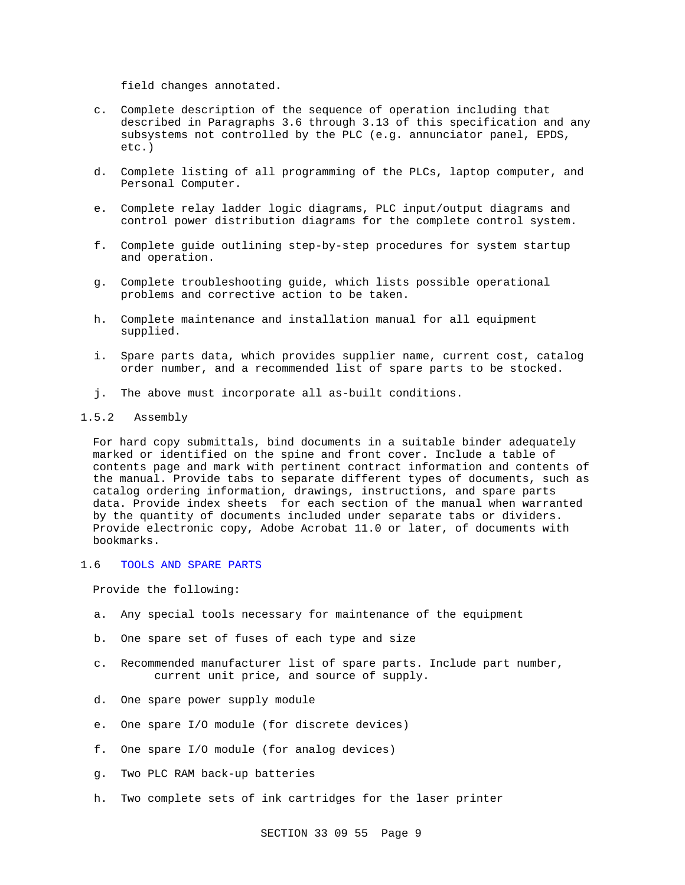field changes annotated.

- c. Complete description of the sequence of operation including that described in Paragraphs 3.6 through 3.13 of this specification and any subsystems not controlled by the PLC (e.g. annunciator panel, EPDS, etc.)
- d. Complete listing of all programming of the PLCs, laptop computer, and Personal Computer.
- e. Complete relay ladder logic diagrams, PLC input/output diagrams and control power distribution diagrams for the complete control system.
- f. Complete guide outlining step-by-step procedures for system startup and operation.
- g. Complete troubleshooting guide, which lists possible operational problems and corrective action to be taken.
- h. Complete maintenance and installation manual for all equipment supplied.
- i. Spare parts data, which provides supplier name, current cost, catalog order number, and a recommended list of spare parts to be stocked.
- j. The above must incorporate all as-built conditions.

#### 1.5.2 Assembly

For hard copy submittals, bind documents in a suitable binder adequately marked or identified on the spine and front cover. Include a table of contents page and mark with pertinent contract information and contents of the manual. Provide tabs to separate different types of documents, such as catalog ordering information, drawings, instructions, and spare parts data. Provide index sheets for each section of the manual when warranted by the quantity of documents included under separate tabs or dividers. Provide electronic copy, Adobe Acrobat 11.0 or later, of documents with bookmarks.

### 1.6 TOOLS AND SPARE PARTS

Provide the following:

- a. Any special tools necessary for maintenance of the equipment
- b. One spare set of fuses of each type and size
- c. Recommended manufacturer list of spare parts. Include part number, current unit price, and source of supply.
- d. One spare power supply module
- e. One spare I/O module (for discrete devices)
- f. One spare I/O module (for analog devices)
- g. Two PLC RAM back-up batteries
- h. Two complete sets of ink cartridges for the laser printer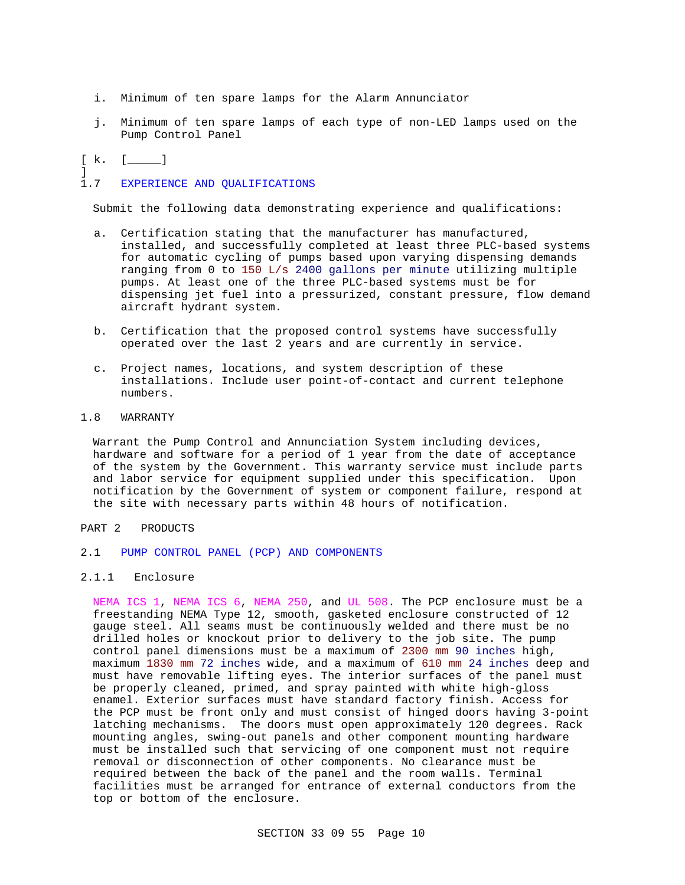- i. Minimum of ten spare lamps for the Alarm Annunciator
- j. Minimum of ten spare lamps of each type of non-LED lamps used on the Pump Control Panel

[ k. [ \_\_\_\_]

]

# 1.7 EXPERIENCE AND QUALIFICATIONS

Submit the following data demonstrating experience and qualifications:

- a. Certification stating that the manufacturer has manufactured, installed, and successfully completed at least three PLC-based systems for automatic cycling of pumps based upon varying dispensing demands ranging from 0 to 150 L/s 2400 gallons per minute utilizing multiple pumps. At least one of the three PLC-based systems must be for dispensing jet fuel into a pressurized, constant pressure, flow demand aircraft hydrant system.
- b. Certification that the proposed control systems have successfully operated over the last 2 years and are currently in service.
- c. Project names, locations, and system description of these installations. Include user point-of-contact and current telephone numbers.

### 1.8 WARRANTY

Warrant the Pump Control and Annunciation System including devices, hardware and software for a period of 1 year from the date of acceptance of the system by the Government. This warranty service must include parts and labor service for equipment supplied under this specification. Upon notification by the Government of system or component failure, respond at the site with necessary parts within 48 hours of notification.

### PART 2 PRODUCTS

### 2.1 PUMP CONTROL PANEL (PCP) AND COMPONENTS

2.1.1 Enclosure

NEMA ICS 1, NEMA ICS 6, NEMA 250, and UL 508. The PCP enclosure must be a freestanding NEMA Type 12, smooth, gasketed enclosure constructed of 12 gauge steel. All seams must be continuously welded and there must be no drilled holes or knockout prior to delivery to the job site. The pump control panel dimensions must be a maximum of 2300 mm 90 inches high, maximum 1830 mm 72 inches wide, and a maximum of 610 mm 24 inches deep and must have removable lifting eyes. The interior surfaces of the panel must be properly cleaned, primed, and spray painted with white high-gloss enamel. Exterior surfaces must have standard factory finish. Access for the PCP must be front only and must consist of hinged doors having 3-point latching mechanisms. The doors must open approximately 120 degrees. Rack mounting angles, swing-out panels and other component mounting hardware must be installed such that servicing of one component must not require removal or disconnection of other components. No clearance must be required between the back of the panel and the room walls. Terminal facilities must be arranged for entrance of external conductors from the top or bottom of the enclosure.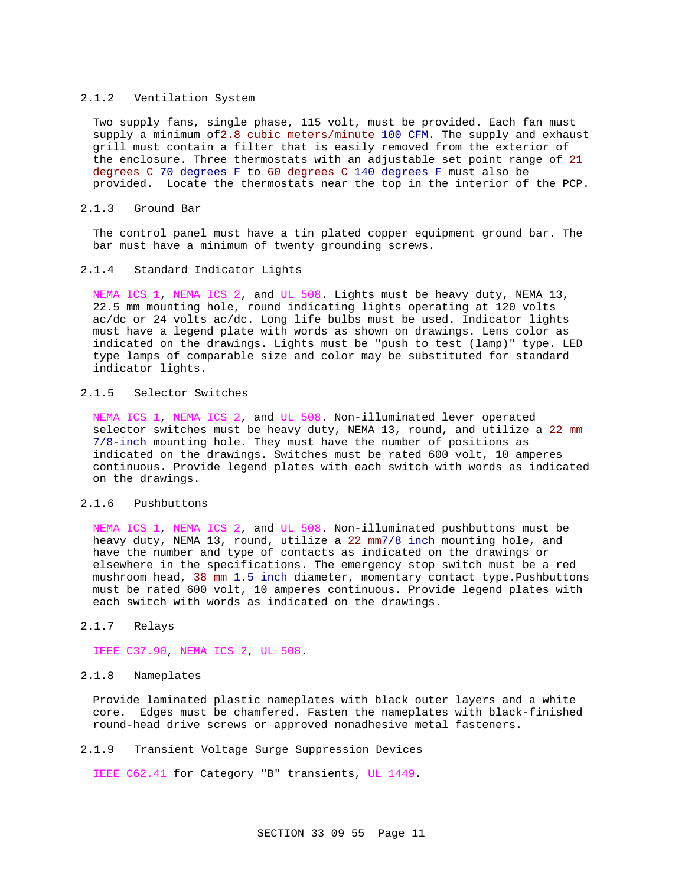#### 2.1.2 Ventilation System

Two supply fans, single phase, 115 volt, must be provided. Each fan must supply a minimum of2.8 cubic meters/minute 100 CFM. The supply and exhaust grill must contain a filter that is easily removed from the exterior of the enclosure. Three thermostats with an adjustable set point range of 21 degrees C 70 degrees F to 60 degrees C 140 degrees F must also be provided. Locate the thermostats near the top in the interior of the PCP.

#### 2.1.3 Ground Bar

The control panel must have a tin plated copper equipment ground bar. The bar must have a minimum of twenty grounding screws.

#### 2.1.4 Standard Indicator Lights

NEMA ICS 1, NEMA ICS 2, and UL 508. Lights must be heavy duty, NEMA 13, 22.5 mm mounting hole, round indicating lights operating at 120 volts ac/dc or 24 volts ac/dc. Long life bulbs must be used. Indicator lights must have a legend plate with words as shown on drawings. Lens color as indicated on the drawings. Lights must be "push to test (lamp)" type. LED type lamps of comparable size and color may be substituted for standard indicator lights.

### 2.1.5 Selector Switches

NEMA ICS 1, NEMA ICS 2, and UL 508. Non-illuminated lever operated selector switches must be heavy duty, NEMA 13, round, and utilize a 22 mm 7/8-inch mounting hole. They must have the number of positions as indicated on the drawings. Switches must be rated 600 volt, 10 amperes continuous. Provide legend plates with each switch with words as indicated on the drawings.

### 2.1.6 Pushbuttons

NEMA ICS 1, NEMA ICS 2, and UL 508. Non-illuminated pushbuttons must be heavy duty, NEMA 13, round, utilize a 22 mm7/8 inch mounting hole, and have the number and type of contacts as indicated on the drawings or elsewhere in the specifications. The emergency stop switch must be a red mushroom head, 38 mm 1.5 inch diameter, momentary contact type.Pushbuttons must be rated 600 volt, 10 amperes continuous. Provide legend plates with each switch with words as indicated on the drawings.

### 2.1.7 Relays

IEEE C37.90, NEMA ICS 2, UL 508.

#### 2.1.8 Nameplates

Provide laminated plastic nameplates with black outer layers and a white core. Edges must be chamfered. Fasten the nameplates with black-finished round-head drive screws or approved nonadhesive metal fasteners.

#### 2.1.9 Transient Voltage Surge Suppression Devices

IEEE C62.41 for Category "B" transients, UL 1449.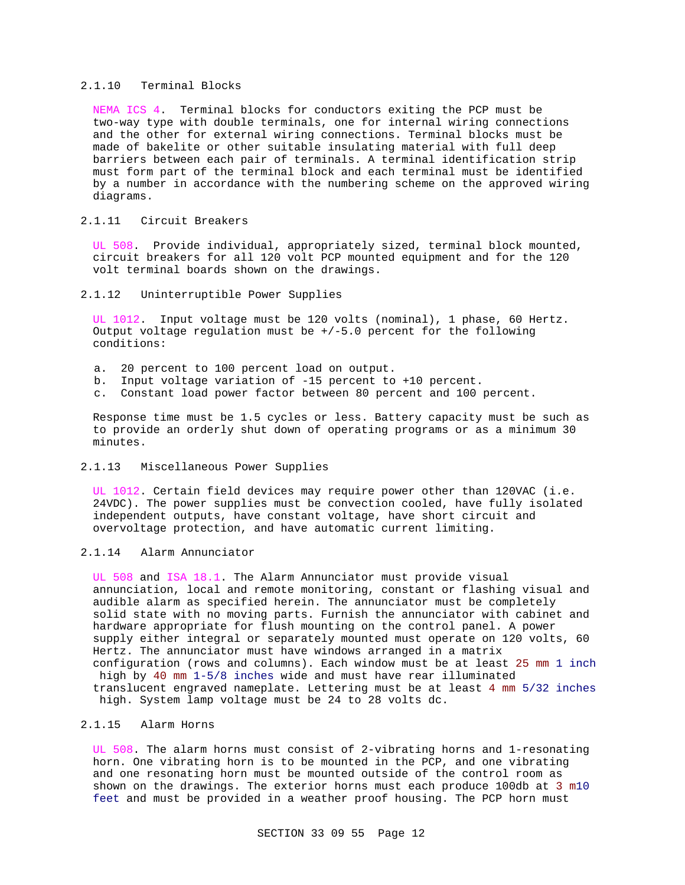#### 2.1.10 Terminal Blocks

NEMA ICS 4. Terminal blocks for conductors exiting the PCP must be two-way type with double terminals, one for internal wiring connections and the other for external wiring connections. Terminal blocks must be made of bakelite or other suitable insulating material with full deep barriers between each pair of terminals. A terminal identification strip must form part of the terminal block and each terminal must be identified by a number in accordance with the numbering scheme on the approved wiring diagrams.

### 2.1.11 Circuit Breakers

UL 508. Provide individual, appropriately sized, terminal block mounted, circuit breakers for all 120 volt PCP mounted equipment and for the 120 volt terminal boards shown on the drawings.

#### 2.1.12 Uninterruptible Power Supplies

UL 1012. Input voltage must be 120 volts (nominal), 1 phase, 60 Hertz. Output voltage regulation must be  $+/-5.0$  percent for the following conditions:

- a. 20 percent to 100 percent load on output.
- b. Input voltage variation of -15 percent to +10 percent.
- c. Constant load power factor between 80 percent and 100 percent.

Response time must be 1.5 cycles or less. Battery capacity must be such as to provide an orderly shut down of operating programs or as a minimum 30 minutes.

#### 2.1.13 Miscellaneous Power Supplies

UL 1012. Certain field devices may require power other than 120VAC (i.e. 24VDC). The power supplies must be convection cooled, have fully isolated independent outputs, have constant voltage, have short circuit and overvoltage protection, and have automatic current limiting.

## 2.1.14 Alarm Annunciator

UL 508 and ISA 18.1. The Alarm Annunciator must provide visual annunciation, local and remote monitoring, constant or flashing visual and audible alarm as specified herein. The annunciator must be completely solid state with no moving parts. Furnish the annunciator with cabinet and hardware appropriate for flush mounting on the control panel. A power supply either integral or separately mounted must operate on 120 volts, 60 Hertz. The annunciator must have windows arranged in a matrix configuration (rows and columns). Each window must be at least 25 mm 1 inch high by 40 mm 1-5/8 inches wide and must have rear illuminated translucent engraved nameplate. Lettering must be at least 4 mm 5/32 inches high. System lamp voltage must be 24 to 28 volts dc.

### 2.1.15 Alarm Horns

UL 508. The alarm horns must consist of 2-vibrating horns and 1-resonating horn. One vibrating horn is to be mounted in the PCP, and one vibrating and one resonating horn must be mounted outside of the control room as shown on the drawings. The exterior horns must each produce 100db at 3 m10 feet and must be provided in a weather proof housing. The PCP horn must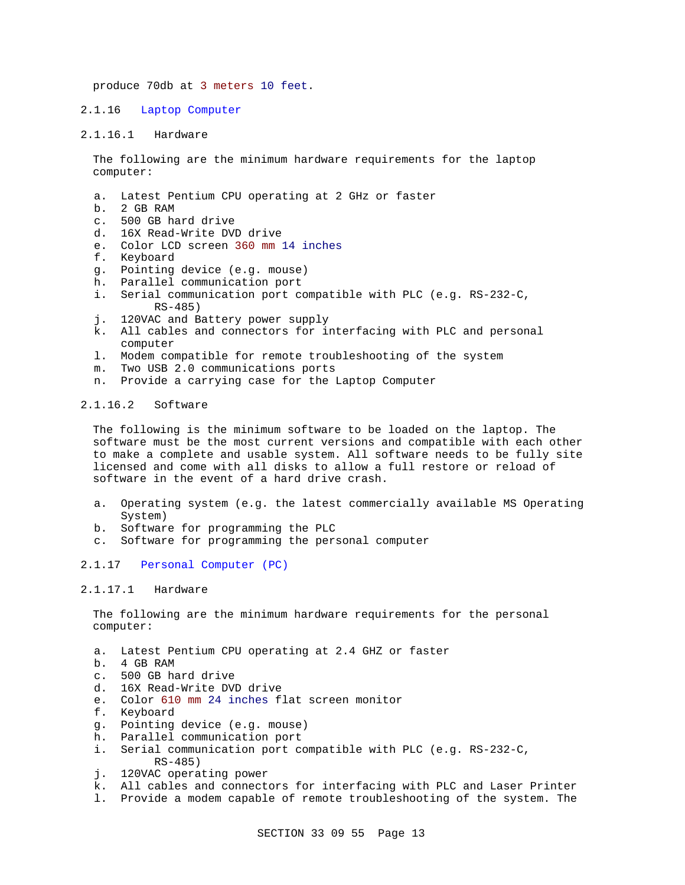produce 70db at 3 meters 10 feet.

#### 2.1.16 Laptop Computer

#### 2.1.16.1 Hardware

The following are the minimum hardware requirements for the laptop computer:

- a. Latest Pentium CPU operating at 2 GHz or faster
- b. 2 GB RAM
- c. 500 GB hard drive
- d. 16X Read-Write DVD drive
- e. Color LCD screen 360 mm 14 inches
- f. Keyboard
- g. Pointing device (e.g. mouse)
- h. Parallel communication port
- i. Serial communication port compatible with PLC (e.g. RS-232-C, RS-485)
- j. 120VAC and Battery power supply
- k. All cables and connectors for interfacing with PLC and personal computer
- l. Modem compatible for remote troubleshooting of the system
- m. Two USB 2.0 communications ports
- n. Provide a carrying case for the Laptop Computer

### 2.1.16.2 Software

The following is the minimum software to be loaded on the laptop. The software must be the most current versions and compatible with each other to make a complete and usable system. All software needs to be fully site licensed and come with all disks to allow a full restore or reload of software in the event of a hard drive crash.

- a. Operating system (e.g. the latest commercially available MS Operating System)
- b. Software for programming the PLC
- c. Software for programming the personal computer

### 2.1.17 Personal Computer (PC)

### 2.1.17.1 Hardware

The following are the minimum hardware requirements for the personal computer:

- a. Latest Pentium CPU operating at 2.4 GHZ or faster
- b. 4 GB RAM
- c. 500 GB hard drive
- d. 16X Read-Write DVD drive
- e. Color 610 mm 24 inches flat screen monitor
- f. Keyboard
- g. Pointing device (e.g. mouse)
- h. Parallel communication port
- i. Serial communication port compatible with PLC (e.g. RS-232-C, RS-485)
- j. 120VAC operating power
- k. All cables and connectors for interfacing with PLC and Laser Printer
- l. Provide a modem capable of remote troubleshooting of the system. The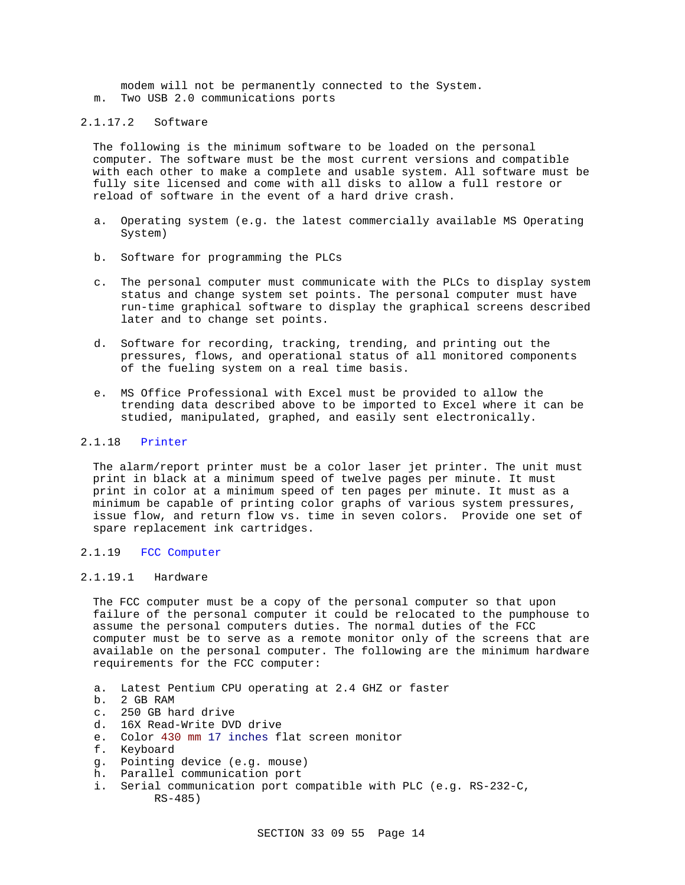modem will not be permanently connected to the System. m. Two USB 2.0 communications ports

### 2.1.17.2 Software

The following is the minimum software to be loaded on the personal computer. The software must be the most current versions and compatible with each other to make a complete and usable system. All software must be fully site licensed and come with all disks to allow a full restore or reload of software in the event of a hard drive crash.

- a. Operating system (e.g. the latest commercially available MS Operating System)
- b. Software for programming the PLCs
- c. The personal computer must communicate with the PLCs to display system status and change system set points. The personal computer must have run-time graphical software to display the graphical screens described later and to change set points.
- d. Software for recording, tracking, trending, and printing out the pressures, flows, and operational status of all monitored components of the fueling system on a real time basis.
- e. MS Office Professional with Excel must be provided to allow the trending data described above to be imported to Excel where it can be studied, manipulated, graphed, and easily sent electronically.

### 2.1.18 Printer

The alarm/report printer must be a color laser jet printer. The unit must print in black at a minimum speed of twelve pages per minute. It must print in color at a minimum speed of ten pages per minute. It must as a minimum be capable of printing color graphs of various system pressures, issue flow, and return flow vs. time in seven colors. Provide one set of spare replacement ink cartridges.

#### 2.1.19 FCC Computer

### 2.1.19.1 Hardware

The FCC computer must be a copy of the personal computer so that upon failure of the personal computer it could be relocated to the pumphouse to assume the personal computers duties. The normal duties of the FCC computer must be to serve as a remote monitor only of the screens that are available on the personal computer. The following are the minimum hardware requirements for the FCC computer:

- a. Latest Pentium CPU operating at 2.4 GHZ or faster
- b. 2 GB RAM
- c. 250 GB hard drive
- d. 16X Read-Write DVD drive
- e. Color 430 mm 17 inches flat screen monitor
- f. Keyboard
- g. Pointing device (e.g. mouse)
- h. Parallel communication port
- i. Serial communication port compatible with PLC (e.g. RS-232-C, RS-485)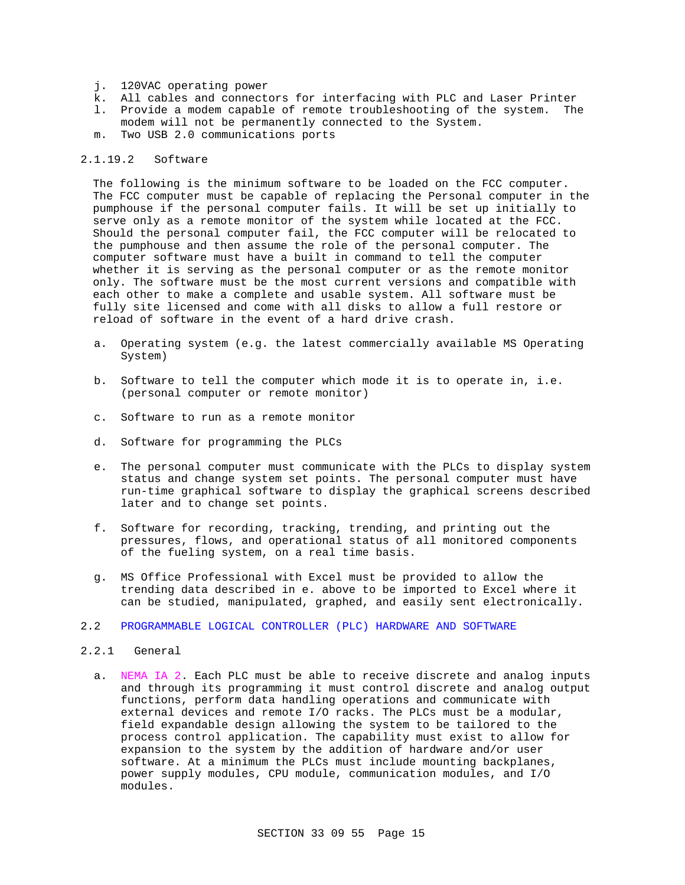- j. 120VAC operating power
- k. All cables and connectors for interfacing with PLC and Laser Printer
- l. Provide a modem capable of remote troubleshooting of the system. The modem will not be permanently connected to the System.
- m. Two USB 2.0 communications ports

#### 2.1.19.2 Software

The following is the minimum software to be loaded on the FCC computer. The FCC computer must be capable of replacing the Personal computer in the pumphouse if the personal computer fails. It will be set up initially to serve only as a remote monitor of the system while located at the FCC. Should the personal computer fail, the FCC computer will be relocated to the pumphouse and then assume the role of the personal computer. The computer software must have a built in command to tell the computer whether it is serving as the personal computer or as the remote monitor only. The software must be the most current versions and compatible with each other to make a complete and usable system. All software must be fully site licensed and come with all disks to allow a full restore or reload of software in the event of a hard drive crash.

- a. Operating system (e.g. the latest commercially available MS Operating System)
- b. Software to tell the computer which mode it is to operate in, i.e. (personal computer or remote monitor)
- c. Software to run as a remote monitor
- d. Software for programming the PLCs
- e. The personal computer must communicate with the PLCs to display system status and change system set points. The personal computer must have run-time graphical software to display the graphical screens described later and to change set points.
- f. Software for recording, tracking, trending, and printing out the pressures, flows, and operational status of all monitored components of the fueling system, on a real time basis.
- g. MS Office Professional with Excel must be provided to allow the trending data described in e. above to be imported to Excel where it can be studied, manipulated, graphed, and easily sent electronically.
- 2.2 PROGRAMMABLE LOGICAL CONTROLLER (PLC) HARDWARE AND SOFTWARE
- 2.2.1 General
	- a. NEMA IA 2. Each PLC must be able to receive discrete and analog inputs and through its programming it must control discrete and analog output functions, perform data handling operations and communicate with external devices and remote I/O racks. The PLCs must be a modular, field expandable design allowing the system to be tailored to the process control application. The capability must exist to allow for expansion to the system by the addition of hardware and/or user software. At a minimum the PLCs must include mounting backplanes, power supply modules, CPU module, communication modules, and I/O modules.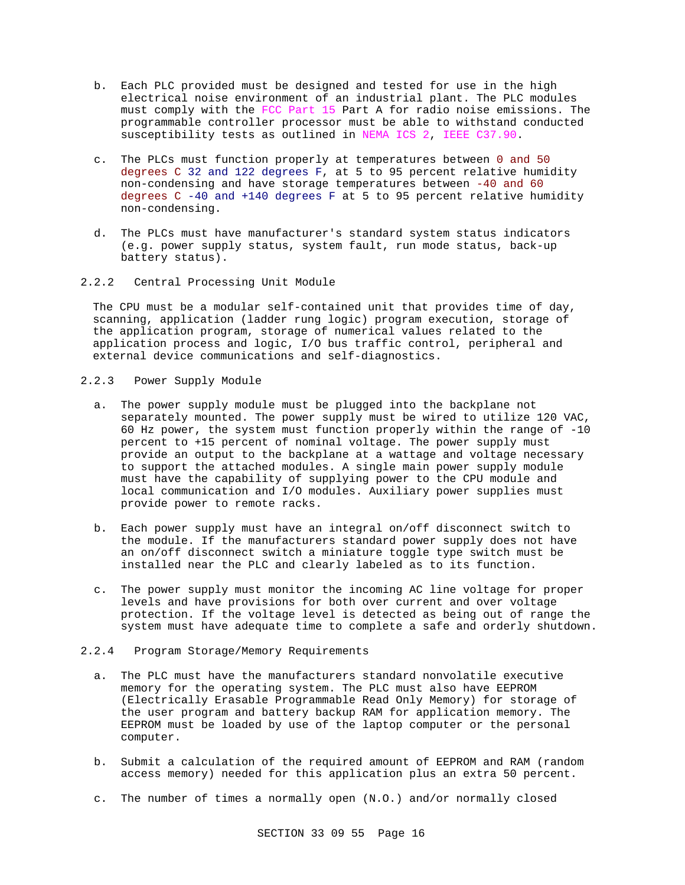- b. Each PLC provided must be designed and tested for use in the high electrical noise environment of an industrial plant. The PLC modules must comply with the FCC Part 15 Part A for radio noise emissions. The programmable controller processor must be able to withstand conducted susceptibility tests as outlined in NEMA ICS 2, IEEE C37.90.
- c. The PLCs must function properly at temperatures between 0 and 50 degrees C 32 and 122 degrees F, at 5 to 95 percent relative humidity non-condensing and have storage temperatures between -40 and 60 degrees  $C - 40$  and  $+140$  degrees F at 5 to 95 percent relative humidity non-condensing.
- d. The PLCs must have manufacturer's standard system status indicators (e.g. power supply status, system fault, run mode status, back-up battery status).
- 2.2.2 Central Processing Unit Module

The CPU must be a modular self-contained unit that provides time of day, scanning, application (ladder rung logic) program execution, storage of the application program, storage of numerical values related to the application process and logic, I/O bus traffic control, peripheral and external device communications and self-diagnostics.

- 2.2.3 Power Supply Module
	- a. The power supply module must be plugged into the backplane not separately mounted. The power supply must be wired to utilize 120 VAC, 60 Hz power, the system must function properly within the range of -10 percent to +15 percent of nominal voltage. The power supply must provide an output to the backplane at a wattage and voltage necessary to support the attached modules. A single main power supply module must have the capability of supplying power to the CPU module and local communication and I/O modules. Auxiliary power supplies must provide power to remote racks.
	- b. Each power supply must have an integral on/off disconnect switch to the module. If the manufacturers standard power supply does not have an on/off disconnect switch a miniature toggle type switch must be installed near the PLC and clearly labeled as to its function.
	- c. The power supply must monitor the incoming AC line voltage for proper levels and have provisions for both over current and over voltage protection. If the voltage level is detected as being out of range the system must have adequate time to complete a safe and orderly shutdown.
- 2.2.4 Program Storage/Memory Requirements
	- a. The PLC must have the manufacturers standard nonvolatile executive memory for the operating system. The PLC must also have EEPROM (Electrically Erasable Programmable Read Only Memory) for storage of the user program and battery backup RAM for application memory. The EEPROM must be loaded by use of the laptop computer or the personal computer.
	- b. Submit a calculation of the required amount of EEPROM and RAM (random access memory) needed for this application plus an extra 50 percent.
	- c. The number of times a normally open (N.O.) and/or normally closed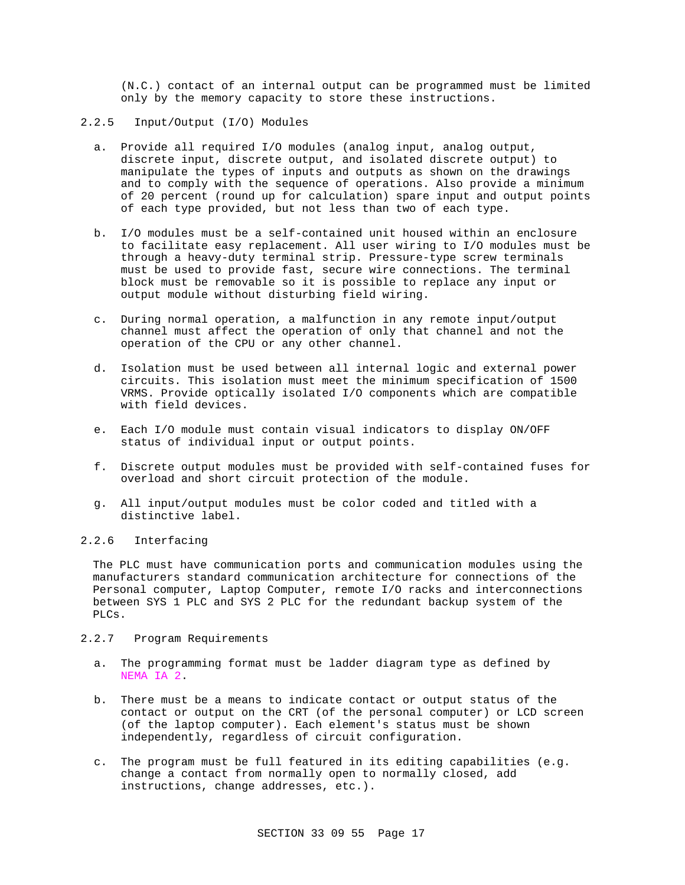(N.C.) contact of an internal output can be programmed must be limited only by the memory capacity to store these instructions.

- 2.2.5 Input/Output (I/O) Modules
	- a. Provide all required I/O modules (analog input, analog output, discrete input, discrete output, and isolated discrete output) to manipulate the types of inputs and outputs as shown on the drawings and to comply with the sequence of operations. Also provide a minimum of 20 percent (round up for calculation) spare input and output points of each type provided, but not less than two of each type.
	- b. I/O modules must be a self-contained unit housed within an enclosure to facilitate easy replacement. All user wiring to I/O modules must be through a heavy-duty terminal strip. Pressure-type screw terminals must be used to provide fast, secure wire connections. The terminal block must be removable so it is possible to replace any input or output module without disturbing field wiring.
	- c. During normal operation, a malfunction in any remote input/output channel must affect the operation of only that channel and not the operation of the CPU or any other channel.
	- d. Isolation must be used between all internal logic and external power circuits. This isolation must meet the minimum specification of 1500 VRMS. Provide optically isolated I/O components which are compatible with field devices.
	- e. Each I/O module must contain visual indicators to display ON/OFF status of individual input or output points.
	- f. Discrete output modules must be provided with self-contained fuses for overload and short circuit protection of the module.
	- g. All input/output modules must be color coded and titled with a distinctive label.

### 2.2.6 Interfacing

The PLC must have communication ports and communication modules using the manufacturers standard communication architecture for connections of the Personal computer, Laptop Computer, remote I/O racks and interconnections between SYS 1 PLC and SYS 2 PLC for the redundant backup system of the PLCs.

- 2.2.7 Program Requirements
	- a. The programming format must be ladder diagram type as defined by NEMA IA 2.
	- b. There must be a means to indicate contact or output status of the contact or output on the CRT (of the personal computer) or LCD screen (of the laptop computer). Each element's status must be shown independently, regardless of circuit configuration.
	- c. The program must be full featured in its editing capabilities (e.g. change a contact from normally open to normally closed, add instructions, change addresses, etc.).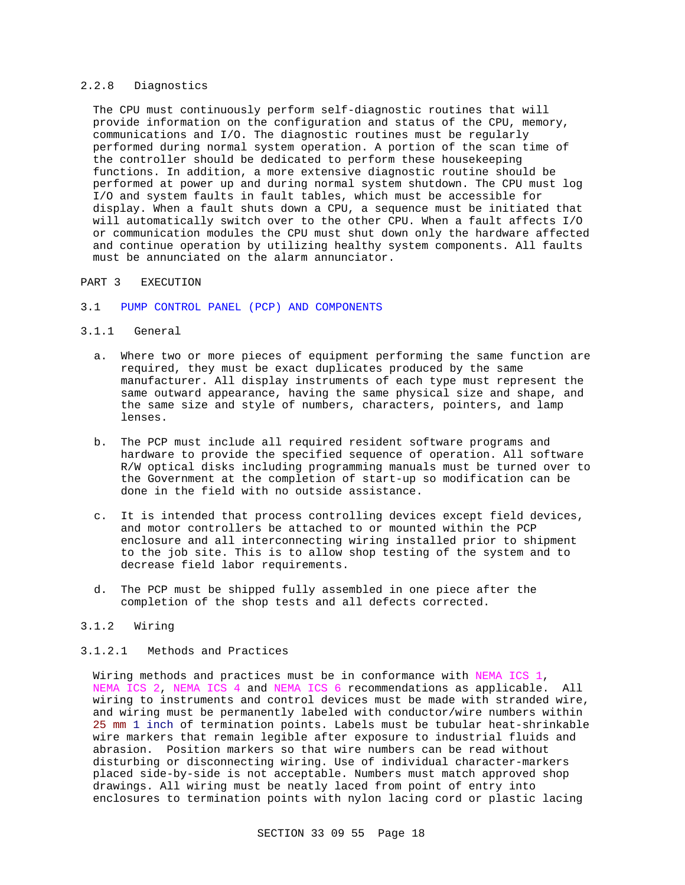### 2.2.8 Diagnostics

The CPU must continuously perform self-diagnostic routines that will provide information on the configuration and status of the CPU, memory, communications and I/O. The diagnostic routines must be regularly performed during normal system operation. A portion of the scan time of the controller should be dedicated to perform these housekeeping functions. In addition, a more extensive diagnostic routine should be performed at power up and during normal system shutdown. The CPU must log I/O and system faults in fault tables, which must be accessible for display. When a fault shuts down a CPU, a sequence must be initiated that will automatically switch over to the other CPU. When a fault affects I/O or communication modules the CPU must shut down only the hardware affected and continue operation by utilizing healthy system components. All faults must be annunciated on the alarm annunciator.

#### PART 3 EXECUTION

#### 3.1 PUMP CONTROL PANEL (PCP) AND COMPONENTS

### 3.1.1 General

- a. Where two or more pieces of equipment performing the same function are required, they must be exact duplicates produced by the same manufacturer. All display instruments of each type must represent the same outward appearance, having the same physical size and shape, and the same size and style of numbers, characters, pointers, and lamp lenses.
- b. The PCP must include all required resident software programs and hardware to provide the specified sequence of operation. All software R/W optical disks including programming manuals must be turned over to the Government at the completion of start-up so modification can be done in the field with no outside assistance.
- c. It is intended that process controlling devices except field devices, and motor controllers be attached to or mounted within the PCP enclosure and all interconnecting wiring installed prior to shipment to the job site. This is to allow shop testing of the system and to decrease field labor requirements.
- d. The PCP must be shipped fully assembled in one piece after the completion of the shop tests and all defects corrected.

### 3.1.2 Wiring

### 3.1.2.1 Methods and Practices

Wiring methods and practices must be in conformance with NEMA ICS 1, NEMA ICS 2, NEMA ICS 4 and NEMA ICS 6 recommendations as applicable. All wiring to instruments and control devices must be made with stranded wire, and wiring must be permanently labeled with conductor/wire numbers within 25 mm 1 inch of termination points. Labels must be tubular heat-shrinkable wire markers that remain legible after exposure to industrial fluids and abrasion. Position markers so that wire numbers can be read without disturbing or disconnecting wiring. Use of individual character-markers placed side-by-side is not acceptable. Numbers must match approved shop drawings. All wiring must be neatly laced from point of entry into enclosures to termination points with nylon lacing cord or plastic lacing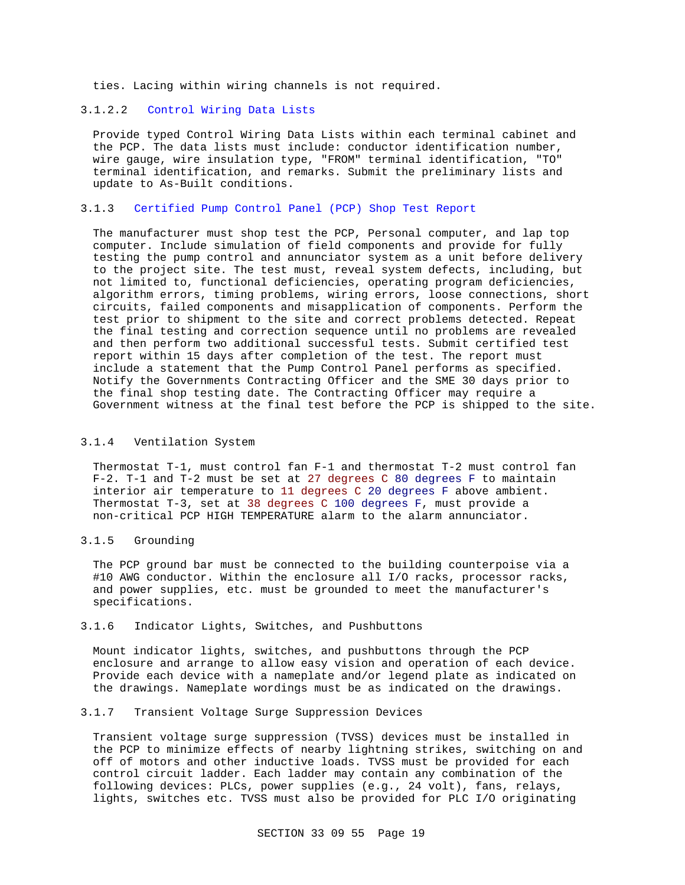ties. Lacing within wiring channels is not required.

### 3.1.2.2 Control Wiring Data Lists

Provide typed Control Wiring Data Lists within each terminal cabinet and the PCP. The data lists must include: conductor identification number, wire gauge, wire insulation type, "FROM" terminal identification, "TO" terminal identification, and remarks. Submit the preliminary lists and update to As-Built conditions.

### 3.1.3 Certified Pump Control Panel (PCP) Shop Test Report

The manufacturer must shop test the PCP, Personal computer, and lap top computer. Include simulation of field components and provide for fully testing the pump control and annunciator system as a unit before delivery to the project site. The test must, reveal system defects, including, but not limited to, functional deficiencies, operating program deficiencies, algorithm errors, timing problems, wiring errors, loose connections, short circuits, failed components and misapplication of components. Perform the test prior to shipment to the site and correct problems detected. Repeat the final testing and correction sequence until no problems are revealed and then perform two additional successful tests. Submit certified test report within 15 days after completion of the test. The report must include a statement that the Pump Control Panel performs as specified. Notify the Governments Contracting Officer and the SME 30 days prior to the final shop testing date. The Contracting Officer may require a Government witness at the final test before the PCP is shipped to the site.

### 3.1.4 Ventilation System

Thermostat T-1, must control fan F-1 and thermostat T-2 must control fan F-2. T-1 and T-2 must be set at 27 degrees C 80 degrees F to maintain interior air temperature to 11 degrees C 20 degrees F above ambient. Thermostat T-3, set at 38 degrees C 100 degrees F, must provide a non-critical PCP HIGH TEMPERATURE alarm to the alarm annunciator.

#### 3.1.5 Grounding

The PCP ground bar must be connected to the building counterpoise via a #10 AWG conductor. Within the enclosure all I/O racks, processor racks, and power supplies, etc. must be grounded to meet the manufacturer's specifications.

### 3.1.6 Indicator Lights, Switches, and Pushbuttons

Mount indicator lights, switches, and pushbuttons through the PCP enclosure and arrange to allow easy vision and operation of each device. Provide each device with a nameplate and/or legend plate as indicated on the drawings. Nameplate wordings must be as indicated on the drawings.

### 3.1.7 Transient Voltage Surge Suppression Devices

Transient voltage surge suppression (TVSS) devices must be installed in the PCP to minimize effects of nearby lightning strikes, switching on and off of motors and other inductive loads. TVSS must be provided for each control circuit ladder. Each ladder may contain any combination of the following devices: PLCs, power supplies (e.g., 24 volt), fans, relays, lights, switches etc. TVSS must also be provided for PLC I/O originating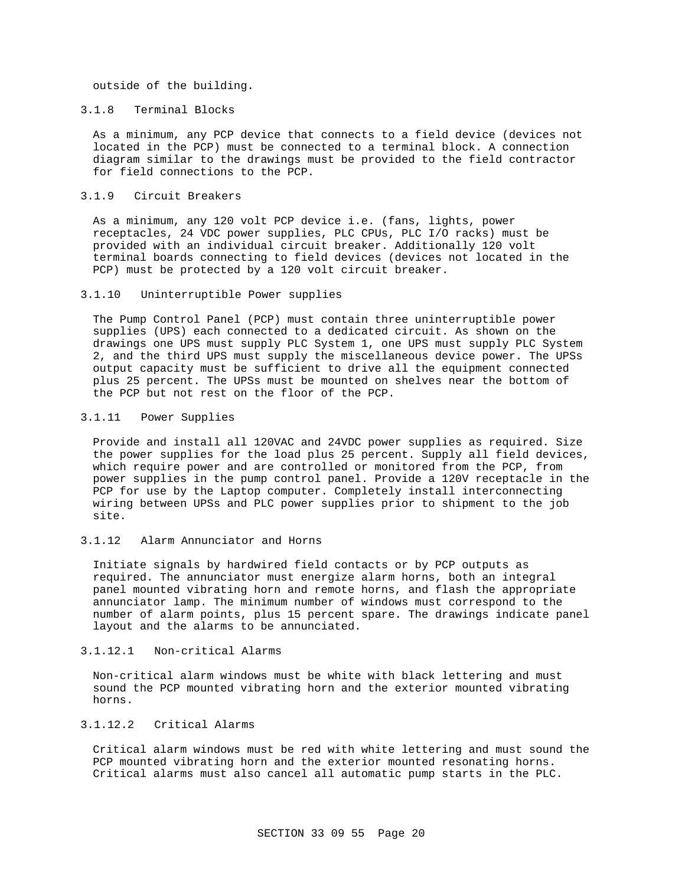outside of the building.

#### 3.1.8 Terminal Blocks

As a minimum, any PCP device that connects to a field device (devices not located in the PCP) must be connected to a terminal block. A connection diagram similar to the drawings must be provided to the field contractor for field connections to the PCP.

### 3.1.9 Circuit Breakers

As a minimum, any 120 volt PCP device i.e. (fans, lights, power receptacles, 24 VDC power supplies, PLC CPUs, PLC I/O racks) must be provided with an individual circuit breaker. Additionally 120 volt terminal boards connecting to field devices (devices not located in the PCP) must be protected by a 120 volt circuit breaker.

### 3.1.10 Uninterruptible Power supplies

The Pump Control Panel (PCP) must contain three uninterruptible power supplies (UPS) each connected to a dedicated circuit. As shown on the drawings one UPS must supply PLC System 1, one UPS must supply PLC System 2, and the third UPS must supply the miscellaneous device power. The UPSs output capacity must be sufficient to drive all the equipment connected plus 25 percent. The UPSs must be mounted on shelves near the bottom of the PCP but not rest on the floor of the PCP.

#### 3.1.11 Power Supplies

Provide and install all 120VAC and 24VDC power supplies as required. Size the power supplies for the load plus 25 percent. Supply all field devices, which require power and are controlled or monitored from the PCP, from power supplies in the pump control panel. Provide a 120V receptacle in the PCP for use by the Laptop computer. Completely install interconnecting wiring between UPSs and PLC power supplies prior to shipment to the job site.

#### 3.1.12 Alarm Annunciator and Horns

Initiate signals by hardwired field contacts or by PCP outputs as required. The annunciator must energize alarm horns, both an integral panel mounted vibrating horn and remote horns, and flash the appropriate annunciator lamp. The minimum number of windows must correspond to the number of alarm points, plus 15 percent spare. The drawings indicate panel layout and the alarms to be annunciated.

#### 3.1.12.1 Non-critical Alarms

Non-critical alarm windows must be white with black lettering and must sound the PCP mounted vibrating horn and the exterior mounted vibrating horns.

### 3.1.12.2 Critical Alarms

Critical alarm windows must be red with white lettering and must sound the PCP mounted vibrating horn and the exterior mounted resonating horns. Critical alarms must also cancel all automatic pump starts in the PLC.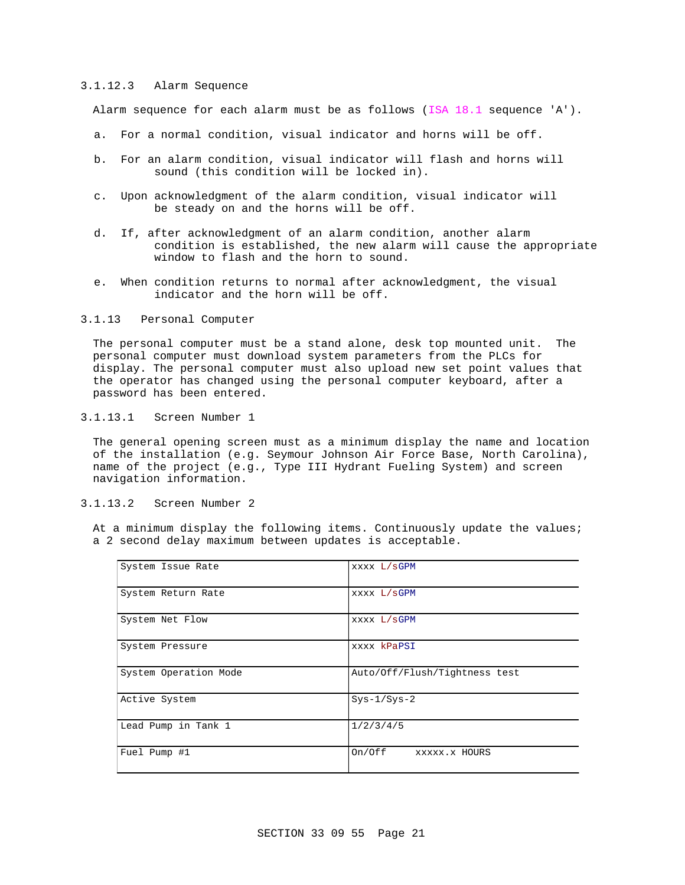### 3.1.12.3 Alarm Sequence

Alarm sequence for each alarm must be as follows (ISA 18.1 sequence 'A').

- a. For a normal condition, visual indicator and horns will be off.
- b. For an alarm condition, visual indicator will flash and horns will sound (this condition will be locked in).
- c. Upon acknowledgment of the alarm condition, visual indicator will be steady on and the horns will be off.
- d. If, after acknowledgment of an alarm condition, another alarm condition is established, the new alarm will cause the appropriate window to flash and the horn to sound.
- e. When condition returns to normal after acknowledgment, the visual indicator and the horn will be off.
- 3.1.13 Personal Computer

The personal computer must be a stand alone, desk top mounted unit. The personal computer must download system parameters from the PLCs for display. The personal computer must also upload new set point values that the operator has changed using the personal computer keyboard, after a password has been entered.

3.1.13.1 Screen Number 1

The general opening screen must as a minimum display the name and location of the installation (e.g. Seymour Johnson Air Force Base, North Carolina), name of the project (e.g., Type III Hydrant Fueling System) and screen navigation information.

3.1.13.2 Screen Number 2

At a minimum display the following items. Continuously update the values; a 2 second delay maximum between updates is acceptable.

| System Issue Rate     | XXXX L/SGPM                   |
|-----------------------|-------------------------------|
| System Return Rate    | XXXX L/SGPM                   |
| System Net Flow       | XXXX L/SGPM                   |
| System Pressure       | xxxx kPaPSI                   |
| System Operation Mode | Auto/Off/Flush/Tightness test |
| Active System         | $Sys-1/Sys-2$                 |
| Lead Pump in Tank 1   | 1/2/3/4/5                     |
| Fuel Pump #1          | On/Off<br>XXXXX.X HOURS       |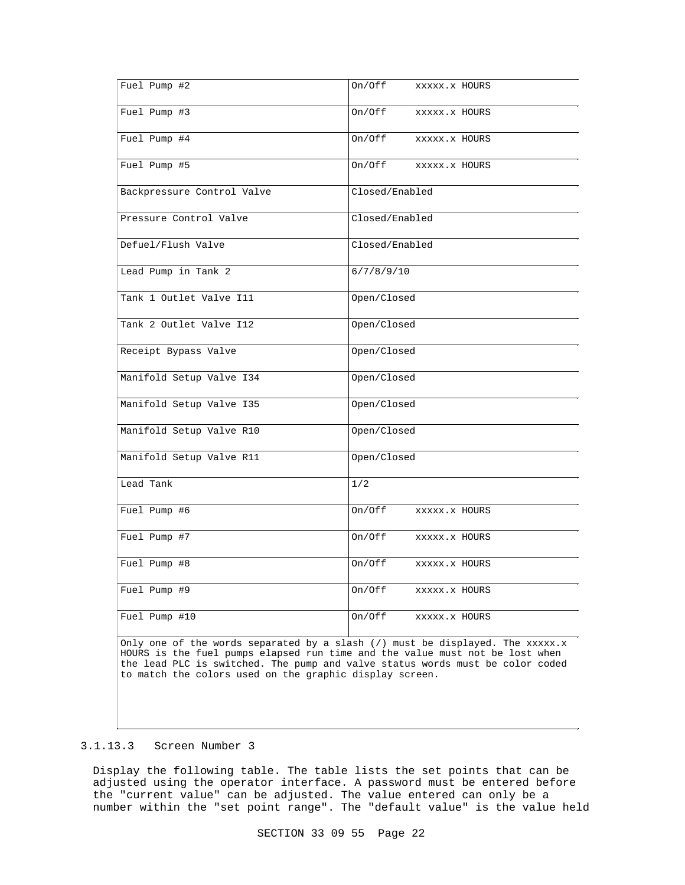| Fuel Pump #2               | On/Off<br>XXXXX.X HOURS |
|----------------------------|-------------------------|
| Fuel Pump $\overline{43}$  | On/Off<br>XXXXX.X HOURS |
| Fuel Pump #4               | On/Off<br>XXXXX.X HOURS |
| Fuel Pump #5               | On/Off<br>XXXXX.X HOURS |
| Backpressure Control Valve | Closed/Enabled          |
| Pressure Control Valve     | Closed/Enabled          |
| Defuel/Flush Valve         | Closed/Enabled          |
| Lead Pump in Tank 2        | 6/7/8/9/10              |
| Tank 1 Outlet Valve I11    | Open/Closed             |
| Tank 2 Outlet Valve I12    | Open/Closed             |
| Receipt Bypass Valve       | Open/Closed             |
| Manifold Setup Valve I34   | Open/Closed             |
| Manifold Setup Valve I35   | Open/Closed             |
| Manifold Setup Valve R10   | Open/Closed             |
| Manifold Setup Valve R11   | Open/Closed             |
| Lead Tank                  | 1/2                     |
| Fuel Pump #6               | On/Off<br>XXXXX.X HOURS |
| Fuel Pump #7               | On/Off<br>XXXXX.X HOURS |
| Fuel Pump #8               | On/Off<br>XXXXX.X HOURS |
| Fuel Pump #9               | On/Off<br>XXXXX.X HOURS |
| Fuel Pump #10              | On/Off<br>XXXXX.X HOURS |

Only one of the words separated by a slash  $\left(\frac{1}{2}\right)$  must be displayed. The xxxxx.x HOURS is the fuel pumps elapsed run time and the value must not be lost when the lead PLC is switched. The pump and valve status words must be color coded to match the colors used on the graphic display screen.

#### 3.1.13.3 Screen Number 3

Display the following table. The table lists the set points that can be adjusted using the operator interface. A password must be entered before the "current value" can be adjusted. The value entered can only be a number within the "set point range". The "default value" is the value held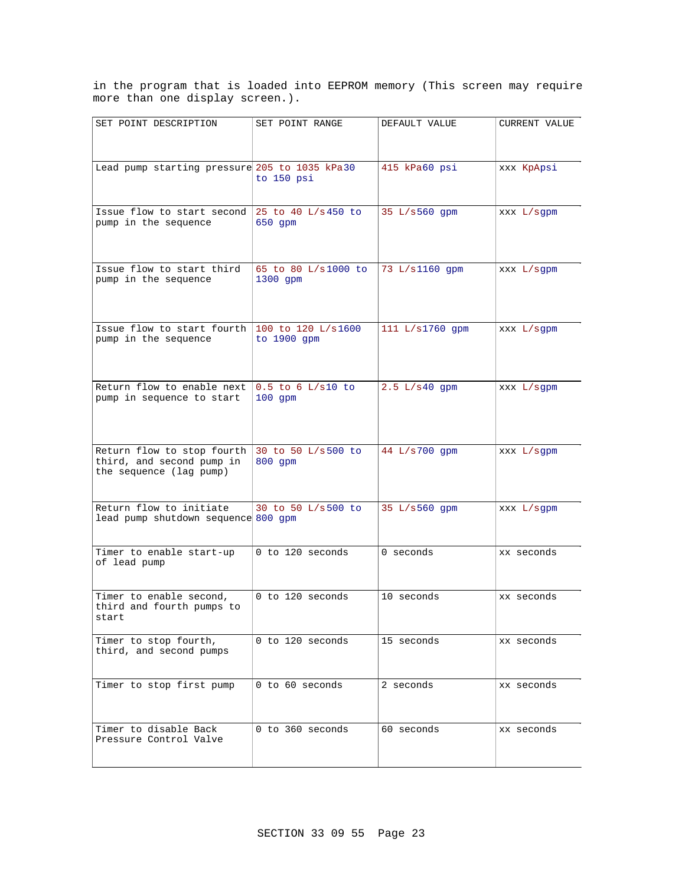in the program that is loaded into EEPROM memory (This screen may require more than one display screen.).

| SET POINT DESCRIPTION                                                              | SET POINT RANGE                   | DEFAULT VALUE     | CURRENT VALUE |
|------------------------------------------------------------------------------------|-----------------------------------|-------------------|---------------|
|                                                                                    |                                   |                   |               |
| Lead pump starting pressure 205 to 1035 kPa30                                      | to 150 psi                        | 415 kPa60 psi     | xxx KpApsi    |
| Issue flow to start second<br>pump in the sequence                                 | 25 to 40 L/s 450 to<br>$650$ qpm  | 35 L/s560 gpm     | XXX L/sqpm    |
| Issue flow to start third<br>pump in the sequence                                  | 65 to 80 L/s1000 to<br>1300 qpm   | 73 L/s1160 qpm    | XXX L/sqpm    |
| Issue flow to start fourth<br>pump in the sequence                                 | 100 to 120 L/s1600<br>to 1900 qpm | 111 $L/s1760$ gpm | XXX L/sqpm    |
| Return flow to enable next<br>pump in sequence to start                            | $0.5$ to 6 L/s10 to<br>$100$ qpm  | $2.5 L/s40$ qpm   | XXX L/sqpm    |
| Return flow to stop fourth<br>third, and second pump in<br>the sequence (lag pump) | 30 to 50 L/s500 to<br>800 qpm     | 44 L/s700 qpm     | XXX L/sqpm    |
| Return flow to initiate<br>lead pump shutdown sequence 800 gpm                     | 30 to 50 L/s500 to                | 35 L/s560 gpm     | XXX L/sqpm    |
| Timer to enable start-up<br>of lead pump                                           | 0 to 120 seconds                  | 0 seconds         | xx seconds    |
| Timer to enable second,<br>third and fourth pumps to<br>start                      | $0$ to 120 seconds                | 10 seconds        | xx seconds    |
| Timer to stop fourth,<br>third, and second pumps                                   | 0 to 120 seconds                  | 15 seconds        | xx seconds    |
| Timer to stop first pump                                                           | 0 to 60 seconds                   | 2 seconds         | xx seconds    |
| Timer to disable Back<br>Pressure Control Valve                                    | 0 to 360 seconds                  | 60 seconds        | xx seconds    |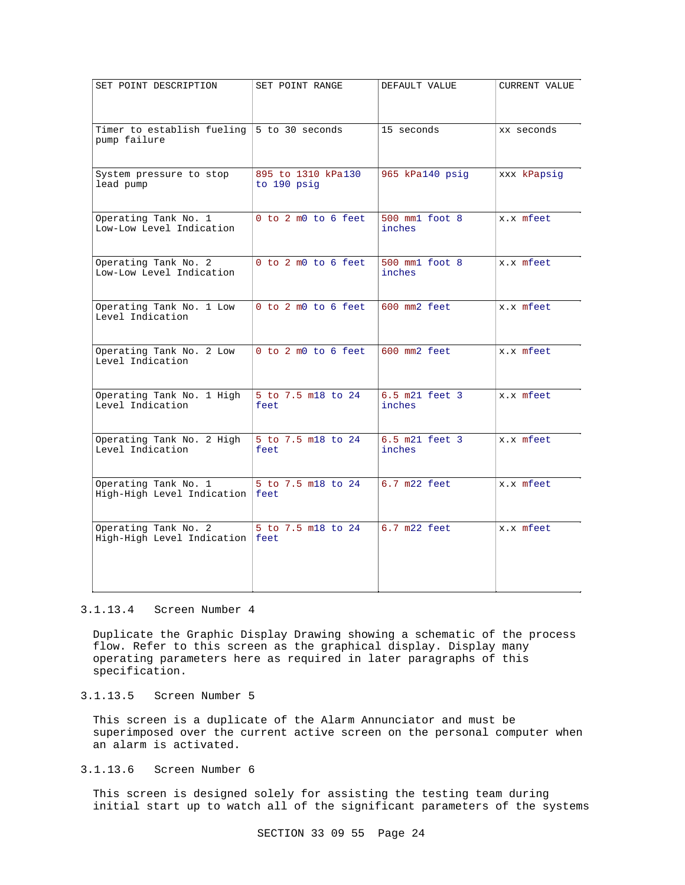| SET POINT DESCRIPTION                              | SET POINT RANGE                   | DEFAULT VALUE            | CURRENT VALUE |
|----------------------------------------------------|-----------------------------------|--------------------------|---------------|
| Timer to establish fueling<br>pump failure         | 5 to 30 seconds                   | 15 seconds               | xx seconds    |
| System pressure to stop<br>lead pump               | 895 to 1310 kPa130<br>to 190 psig | 965 kPa140 psig          | xxx kPapsig   |
| Operating Tank No. 1<br>Low-Low Level Indication   | 0 to 2 m0 to 6 feet               | 500 mm1 foot 8<br>inches | x.x mfeet     |
| Operating Tank No. 2<br>Low-Low Level Indication   | 0 to 2 m0 to 6 feet               | 500 mm1 foot 8<br>inches | x.x mfeet     |
| Operating Tank No. 1 Low<br>Level Indication       | 0 to 2 m0 to 6 feet               | 600 mm2 feet             | x.x mfeet     |
| Operating Tank No. 2 Low<br>Level Indication       | 0 to 2 m0 to 6 feet               | 600 mm2 feet             | x.x mfeet     |
| Operating Tank No. 1 High<br>Level Indication      | 5 to 7.5 m18 to 24<br>feet        | 6.5 m21 feet 3<br>inches | x.x mfeet     |
| Operating Tank No. 2 High<br>Level Indication      | 5 to 7.5 m18 to 24<br>feet        | 6.5 m21 feet 3<br>inches | x.x mfeet     |
| Operating Tank No. 1<br>High-High Level Indication | 5 to 7.5 m18 to 24<br>feet        | 6.7 m22 feet             | x.x mfeet     |
| Operating Tank No. 2<br>High-High Level Indication | 5 to 7.5 m18 to 24<br>feet        | $6.7$ $m22$ feet         | x.x mfeet     |

#### 3.1.13.4 Screen Number 4

Duplicate the Graphic Display Drawing showing a schematic of the process flow. Refer to this screen as the graphical display. Display many operating parameters here as required in later paragraphs of this specification.

## 3.1.13.5 Screen Number 5

This screen is a duplicate of the Alarm Annunciator and must be superimposed over the current active screen on the personal computer when an alarm is activated.

### 3.1.13.6 Screen Number 6

This screen is designed solely for assisting the testing team during initial start up to watch all of the significant parameters of the systems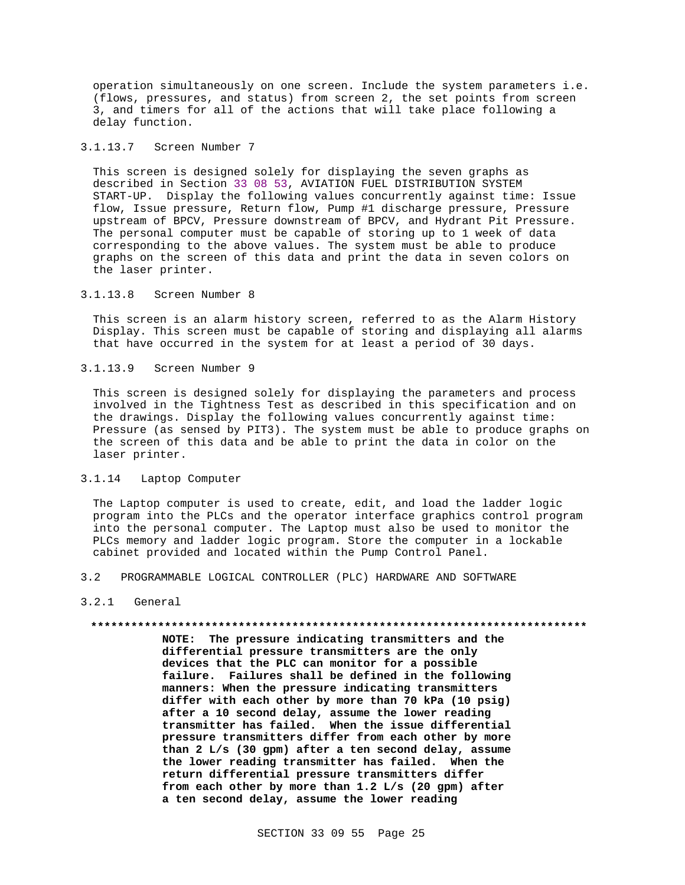operation simultaneously on one screen. Include the system parameters i.e. (flows, pressures, and status) from screen 2, the set points from screen 3, and timers for all of the actions that will take place following a delay function.

### 3.1.13.7 Screen Number 7

This screen is designed solely for displaying the seven graphs as described in Section 33 08 53, AVIATION FUEL DISTRIBUTION SYSTEM START-UP. Display the following values concurrently against time: Issue flow, Issue pressure, Return flow, Pump #1 discharge pressure, Pressure upstream of BPCV, Pressure downstream of BPCV, and Hydrant Pit Pressure. The personal computer must be capable of storing up to 1 week of data corresponding to the above values. The system must be able to produce graphs on the screen of this data and print the data in seven colors on the laser printer.

#### 3.1.13.8 Screen Number 8

This screen is an alarm history screen, referred to as the Alarm History Display. This screen must be capable of storing and displaying all alarms that have occurred in the system for at least a period of 30 days.

#### 3.1.13.9 Screen Number 9

This screen is designed solely for displaying the parameters and process involved in the Tightness Test as described in this specification and on the drawings. Display the following values concurrently against time: Pressure (as sensed by PIT3). The system must be able to produce graphs on the screen of this data and be able to print the data in color on the laser printer.

### 3.1.14 Laptop Computer

The Laptop computer is used to create, edit, and load the ladder logic program into the PLCs and the operator interface graphics control program into the personal computer. The Laptop must also be used to monitor the PLCs memory and ladder logic program. Store the computer in a lockable cabinet provided and located within the Pump Control Panel.

3.2 PROGRAMMABLE LOGICAL CONTROLLER (PLC) HARDWARE AND SOFTWARE

### 3.2.1 General

#### **\*\*\*\*\*\*\*\*\*\*\*\*\*\*\*\*\*\*\*\*\*\*\*\*\*\*\*\*\*\*\*\*\*\*\*\*\*\*\*\*\*\*\*\*\*\*\*\*\*\*\*\*\*\*\*\*\*\*\*\*\*\*\*\*\*\*\*\*\*\*\*\*\*\***

**NOTE: The pressure indicating transmitters and the differential pressure transmitters are the only devices that the PLC can monitor for a possible failure. Failures shall be defined in the following manners: When the pressure indicating transmitters differ with each other by more than 70 kPa (10 psig) after a 10 second delay, assume the lower reading transmitter has failed. When the issue differential pressure transmitters differ from each other by more than 2 L/s (30 gpm) after a ten second delay, assume the lower reading transmitter has failed. When the return differential pressure transmitters differ from each other by more than 1.2 L/s (20 gpm) after a ten second delay, assume the lower reading**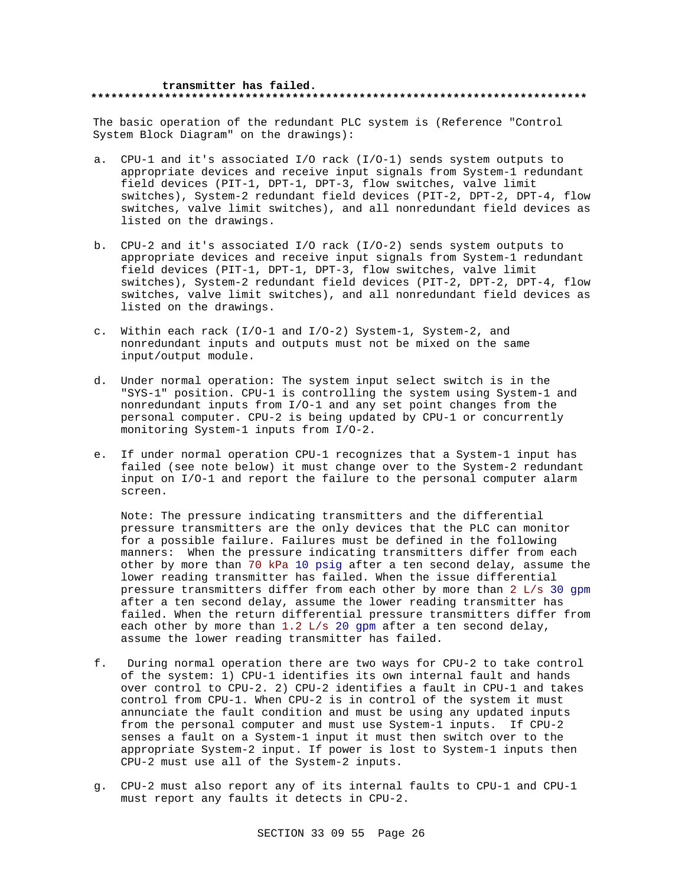#### **transmitter has failed. \*\*\*\*\*\*\*\*\*\*\*\*\*\*\*\*\*\*\*\*\*\*\*\*\*\*\*\*\*\*\*\*\*\*\*\*\*\*\*\*\*\*\*\*\*\*\*\*\*\*\*\*\*\*\*\*\*\*\*\*\*\*\*\*\*\*\*\*\*\*\*\*\*\***

The basic operation of the redundant PLC system is (Reference "Control System Block Diagram" on the drawings):

- a. CPU-1 and it's associated I/O rack (I/O-1) sends system outputs to appropriate devices and receive input signals from System-1 redundant field devices (PIT-1, DPT-1, DPT-3, flow switches, valve limit switches), System-2 redundant field devices (PIT-2, DPT-2, DPT-4, flow switches, valve limit switches), and all nonredundant field devices as listed on the drawings.
- b. CPU-2 and it's associated I/O rack (I/O-2) sends system outputs to appropriate devices and receive input signals from System-1 redundant field devices (PIT-1, DPT-1, DPT-3, flow switches, valve limit switches), System-2 redundant field devices (PIT-2, DPT-2, DPT-4, flow switches, valve limit switches), and all nonredundant field devices as listed on the drawings.
- c. Within each rack (I/O-1 and I/O-2) System-1, System-2, and nonredundant inputs and outputs must not be mixed on the same input/output module.
- d. Under normal operation: The system input select switch is in the "SYS-1" position. CPU-1 is controlling the system using System-1 and nonredundant inputs from I/O-1 and any set point changes from the personal computer. CPU-2 is being updated by CPU-1 or concurrently monitoring System-1 inputs from I/O-2.
- e. If under normal operation CPU-1 recognizes that a System-1 input has failed (see note below) it must change over to the System-2 redundant input on I/O-1 and report the failure to the personal computer alarm screen.

Note: The pressure indicating transmitters and the differential pressure transmitters are the only devices that the PLC can monitor for a possible failure. Failures must be defined in the following manners: When the pressure indicating transmitters differ from each other by more than 70 kPa 10 psig after a ten second delay, assume the lower reading transmitter has failed. When the issue differential pressure transmitters differ from each other by more than 2 L/s 30 gpm after a ten second delay, assume the lower reading transmitter has failed. When the return differential pressure transmitters differ from each other by more than 1.2 L/s 20 gpm after a ten second delay, assume the lower reading transmitter has failed.

- f. During normal operation there are two ways for CPU-2 to take control of the system: 1) CPU-1 identifies its own internal fault and hands over control to CPU-2. 2) CPU-2 identifies a fault in CPU-1 and takes control from CPU-1. When CPU-2 is in control of the system it must annunciate the fault condition and must be using any updated inputs from the personal computer and must use System-1 inputs. If CPU-2 senses a fault on a System-1 input it must then switch over to the appropriate System-2 input. If power is lost to System-1 inputs then CPU-2 must use all of the System-2 inputs.
- g. CPU-2 must also report any of its internal faults to CPU-1 and CPU-1 must report any faults it detects in CPU-2.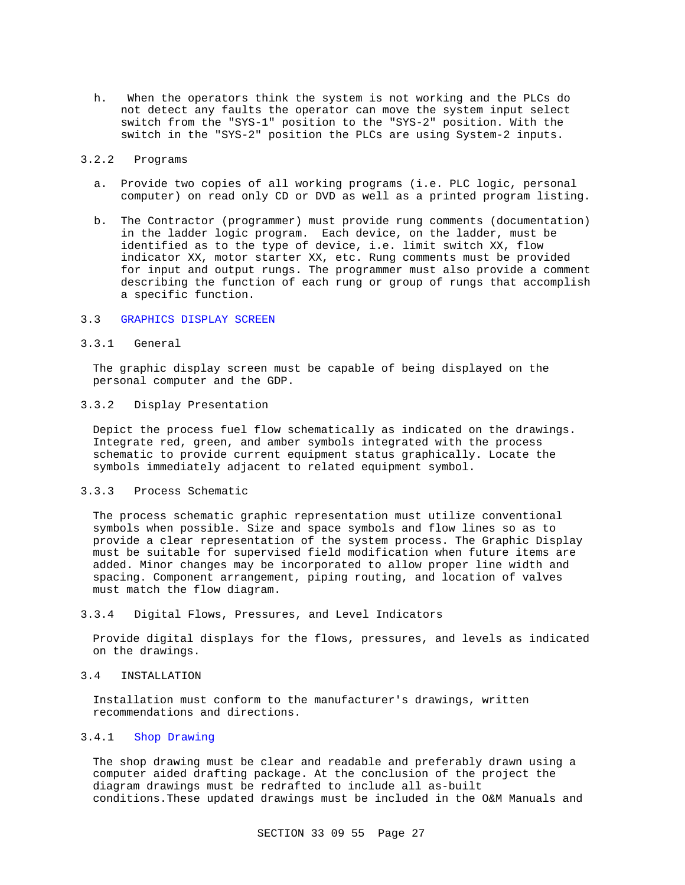h. When the operators think the system is not working and the PLCs do not detect any faults the operator can move the system input select switch from the "SYS-1" position to the "SYS-2" position. With the switch in the "SYS-2" position the PLCs are using System-2 inputs.

### 3.2.2 Programs

- a. Provide two copies of all working programs (i.e. PLC logic, personal computer) on read only CD or DVD as well as a printed program listing.
- b. The Contractor (programmer) must provide rung comments (documentation) in the ladder logic program. Each device, on the ladder, must be identified as to the type of device, i.e. limit switch XX, flow indicator XX, motor starter XX, etc. Rung comments must be provided for input and output rungs. The programmer must also provide a comment describing the function of each rung or group of rungs that accomplish a specific function.

### 3.3 GRAPHICS DISPLAY SCREEN

### 3.3.1 General

The graphic display screen must be capable of being displayed on the personal computer and the GDP.

### 3.3.2 Display Presentation

Depict the process fuel flow schematically as indicated on the drawings. Integrate red, green, and amber symbols integrated with the process schematic to provide current equipment status graphically. Locate the symbols immediately adjacent to related equipment symbol.

### 3.3.3 Process Schematic

The process schematic graphic representation must utilize conventional symbols when possible. Size and space symbols and flow lines so as to provide a clear representation of the system process. The Graphic Display must be suitable for supervised field modification when future items are added. Minor changes may be incorporated to allow proper line width and spacing. Component arrangement, piping routing, and location of valves must match the flow diagram.

#### 3.3.4 Digital Flows, Pressures, and Level Indicators

Provide digital displays for the flows, pressures, and levels as indicated on the drawings.

#### 3.4 INSTALLATION

Installation must conform to the manufacturer's drawings, written recommendations and directions.

### 3.4.1 Shop Drawing

The shop drawing must be clear and readable and preferably drawn using a computer aided drafting package. At the conclusion of the project the diagram drawings must be redrafted to include all as-built conditions.These updated drawings must be included in the O&M Manuals and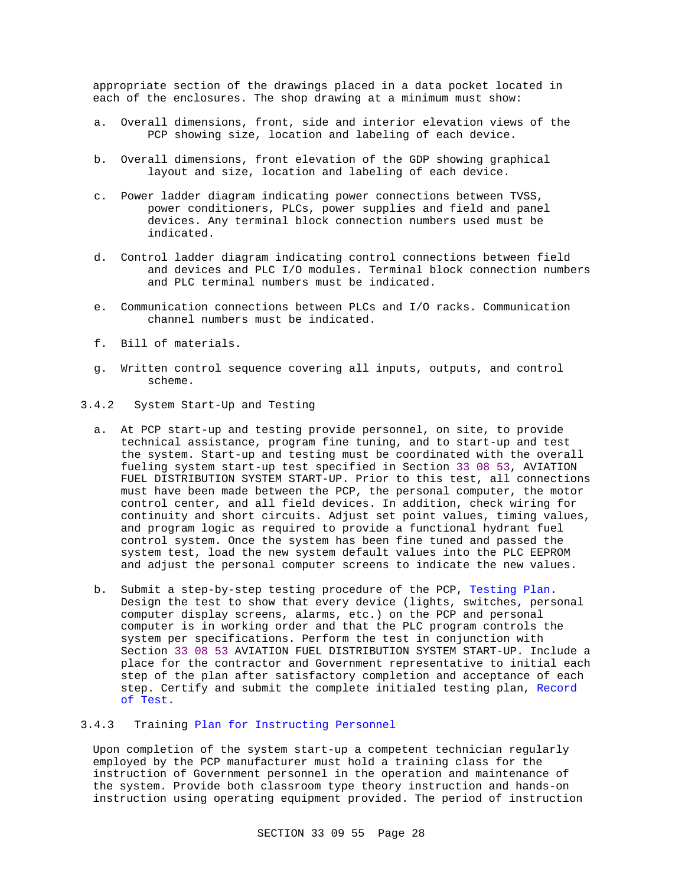appropriate section of the drawings placed in a data pocket located in each of the enclosures. The shop drawing at a minimum must show:

- a. Overall dimensions, front, side and interior elevation views of the PCP showing size, location and labeling of each device.
- b. Overall dimensions, front elevation of the GDP showing graphical layout and size, location and labeling of each device.
- c. Power ladder diagram indicating power connections between TVSS, power conditioners, PLCs, power supplies and field and panel devices. Any terminal block connection numbers used must be indicated.
- d. Control ladder diagram indicating control connections between field and devices and PLC I/O modules. Terminal block connection numbers and PLC terminal numbers must be indicated.
- e. Communication connections between PLCs and I/O racks. Communication channel numbers must be indicated.
- f. Bill of materials.
- g. Written control sequence covering all inputs, outputs, and control scheme.
- 3.4.2 System Start-Up and Testing
	- a. At PCP start-up and testing provide personnel, on site, to provide technical assistance, program fine tuning, and to start-up and test the system. Start-up and testing must be coordinated with the overall fueling system start-up test specified in Section 33 08 53, AVIATION FUEL DISTRIBUTION SYSTEM START-UP. Prior to this test, all connections must have been made between the PCP, the personal computer, the motor control center, and all field devices. In addition, check wiring for continuity and short circuits. Adjust set point values, timing values, and program logic as required to provide a functional hydrant fuel control system. Once the system has been fine tuned and passed the system test, load the new system default values into the PLC EEPROM and adjust the personal computer screens to indicate the new values.
	- b. Submit a step-by-step testing procedure of the PCP, Testing Plan. Design the test to show that every device (lights, switches, personal computer display screens, alarms, etc.) on the PCP and personal computer is in working order and that the PLC program controls the system per specifications. Perform the test in conjunction with Section 33 08 53 AVIATION FUEL DISTRIBUTION SYSTEM START-UP. Include a place for the contractor and Government representative to initial each step of the plan after satisfactory completion and acceptance of each step. Certify and submit the complete initialed testing plan, Record of Test.

### 3.4.3 Training Plan for Instructing Personnel

Upon completion of the system start-up a competent technician regularly employed by the PCP manufacturer must hold a training class for the instruction of Government personnel in the operation and maintenance of the system. Provide both classroom type theory instruction and hands-on instruction using operating equipment provided. The period of instruction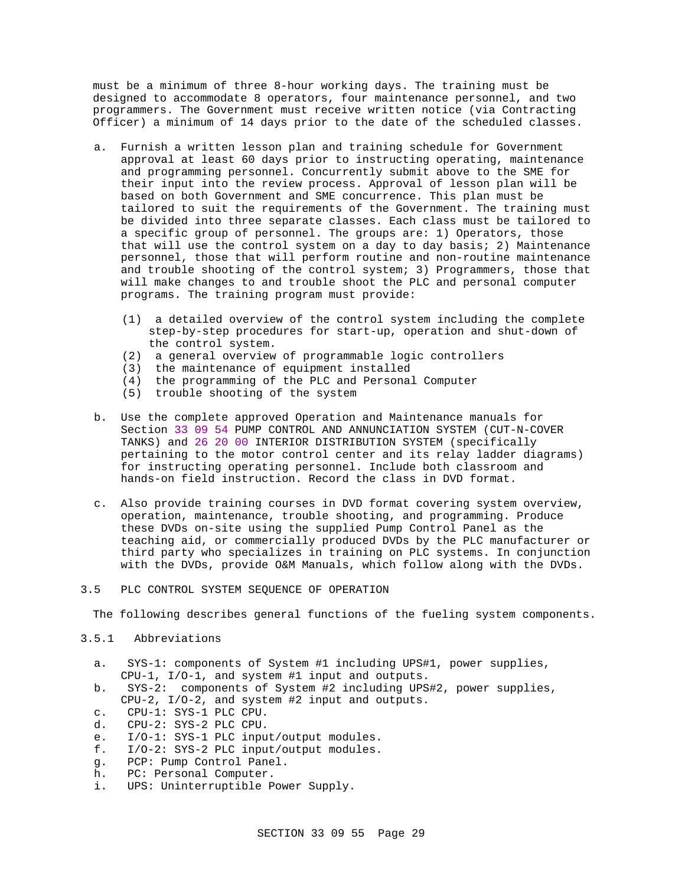must be a minimum of three 8-hour working days. The training must be designed to accommodate 8 operators, four maintenance personnel, and two programmers. The Government must receive written notice (via Contracting Officer) a minimum of 14 days prior to the date of the scheduled classes.

- a. Furnish a written lesson plan and training schedule for Government approval at least 60 days prior to instructing operating, maintenance and programming personnel. Concurrently submit above to the SME for their input into the review process. Approval of lesson plan will be based on both Government and SME concurrence. This plan must be tailored to suit the requirements of the Government. The training must be divided into three separate classes. Each class must be tailored to a specific group of personnel. The groups are: 1) Operators, those that will use the control system on a day to day basis; 2) Maintenance personnel, those that will perform routine and non-routine maintenance and trouble shooting of the control system; 3) Programmers, those that will make changes to and trouble shoot the PLC and personal computer programs. The training program must provide:
	- (1) a detailed overview of the control system including the complete step-by-step procedures for start-up, operation and shut-down of the control system.
	- (2) a general overview of programmable logic controllers
	- (3) the maintenance of equipment installed
	- (4) the programming of the PLC and Personal Computer
	- (5) trouble shooting of the system
- b. Use the complete approved Operation and Maintenance manuals for Section 33 09 54 PUMP CONTROL AND ANNUNCIATION SYSTEM (CUT-N-COVER TANKS) and 26 20 00 INTERIOR DISTRIBUTION SYSTEM (specifically pertaining to the motor control center and its relay ladder diagrams) for instructing operating personnel. Include both classroom and hands-on field instruction. Record the class in DVD format.
- c. Also provide training courses in DVD format covering system overview, operation, maintenance, trouble shooting, and programming. Produce these DVDs on-site using the supplied Pump Control Panel as the teaching aid, or commercially produced DVDs by the PLC manufacturer or third party who specializes in training on PLC systems. In conjunction with the DVDs, provide O&M Manuals, which follow along with the DVDs.

### 3.5 PLC CONTROL SYSTEM SEQUENCE OF OPERATION

The following describes general functions of the fueling system components.

## 3.5.1 Abbreviations

- a. SYS-1: components of System #1 including UPS#1, power supplies, CPU-1, I/O-1, and system #1 input and outputs.
- b. SYS-2: components of System #2 including UPS#2, power supplies, CPU-2, I/O-2, and system #2 input and outputs.
- c. CPU-1: SYS-1 PLC CPU.
- d. CPU-2: SYS-2 PLC CPU.
- e. I/O-1: SYS-1 PLC input/output modules.
- f. I/O-2: SYS-2 PLC input/output modules.
- g. PCP: Pump Control Panel.
- h. PC: Personal Computer.
- i. UPS: Uninterruptible Power Supply.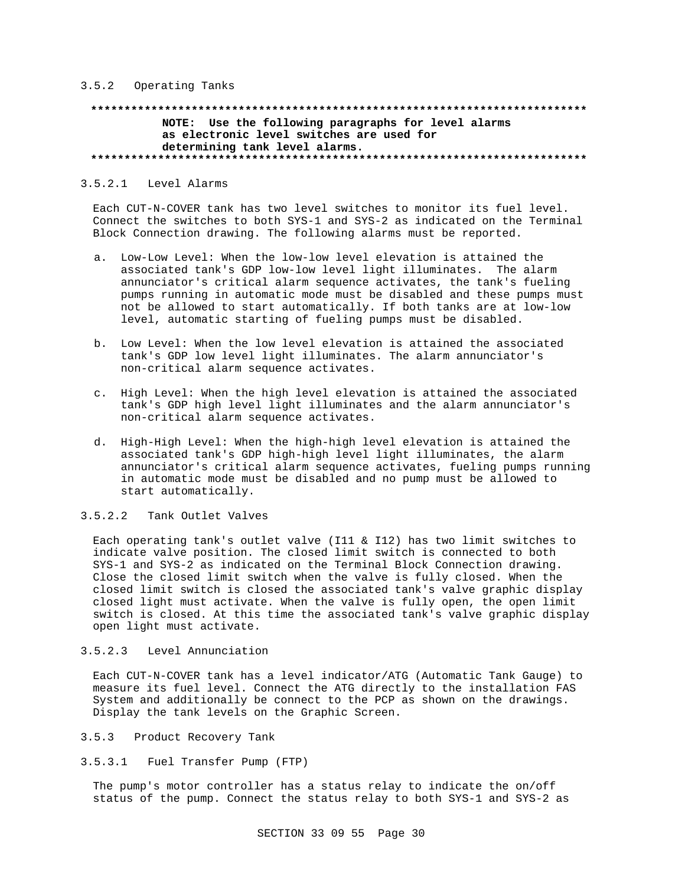#### 3.5.2 Operating Tanks

### **\*\*\*\*\*\*\*\*\*\*\*\*\*\*\*\*\*\*\*\*\*\*\*\*\*\*\*\*\*\*\*\*\*\*\*\*\*\*\*\*\*\*\*\*\*\*\*\*\*\*\*\*\*\*\*\*\*\*\*\*\*\*\*\*\*\*\*\*\*\*\*\*\*\* NOTE: Use the following paragraphs for level alarms as electronic level switches are used for determining tank level alarms. \*\*\*\*\*\*\*\*\*\*\*\*\*\*\*\*\*\*\*\*\*\*\*\*\*\*\*\*\*\*\*\*\*\*\*\*\*\*\*\*\*\*\*\*\*\*\*\*\*\*\*\*\*\*\*\*\*\*\*\*\*\*\*\*\*\*\*\*\*\*\*\*\*\***

### 3.5.2.1 Level Alarms

Each CUT-N-COVER tank has two level switches to monitor its fuel level. Connect the switches to both SYS-1 and SYS-2 as indicated on the Terminal Block Connection drawing. The following alarms must be reported.

- a. Low-Low Level: When the low-low level elevation is attained the associated tank's GDP low-low level light illuminates. The alarm annunciator's critical alarm sequence activates, the tank's fueling pumps running in automatic mode must be disabled and these pumps must not be allowed to start automatically. If both tanks are at low-low level, automatic starting of fueling pumps must be disabled.
- b. Low Level: When the low level elevation is attained the associated tank's GDP low level light illuminates. The alarm annunciator's non-critical alarm sequence activates.
- c. High Level: When the high level elevation is attained the associated tank's GDP high level light illuminates and the alarm annunciator's non-critical alarm sequence activates.
- d. High-High Level: When the high-high level elevation is attained the associated tank's GDP high-high level light illuminates, the alarm annunciator's critical alarm sequence activates, fueling pumps running in automatic mode must be disabled and no pump must be allowed to start automatically.

### 3.5.2.2 Tank Outlet Valves

Each operating tank's outlet valve (I11 & I12) has two limit switches to indicate valve position. The closed limit switch is connected to both SYS-1 and SYS-2 as indicated on the Terminal Block Connection drawing. Close the closed limit switch when the valve is fully closed. When the closed limit switch is closed the associated tank's valve graphic display closed light must activate. When the valve is fully open, the open limit switch is closed. At this time the associated tank's valve graphic display open light must activate.

#### 3.5.2.3 Level Annunciation

Each CUT-N-COVER tank has a level indicator/ATG (Automatic Tank Gauge) to measure its fuel level. Connect the ATG directly to the installation FAS System and additionally be connect to the PCP as shown on the drawings. Display the tank levels on the Graphic Screen.

### 3.5.3 Product Recovery Tank

3.5.3.1 Fuel Transfer Pump (FTP)

The pump's motor controller has a status relay to indicate the on/off status of the pump. Connect the status relay to both SYS-1 and SYS-2 as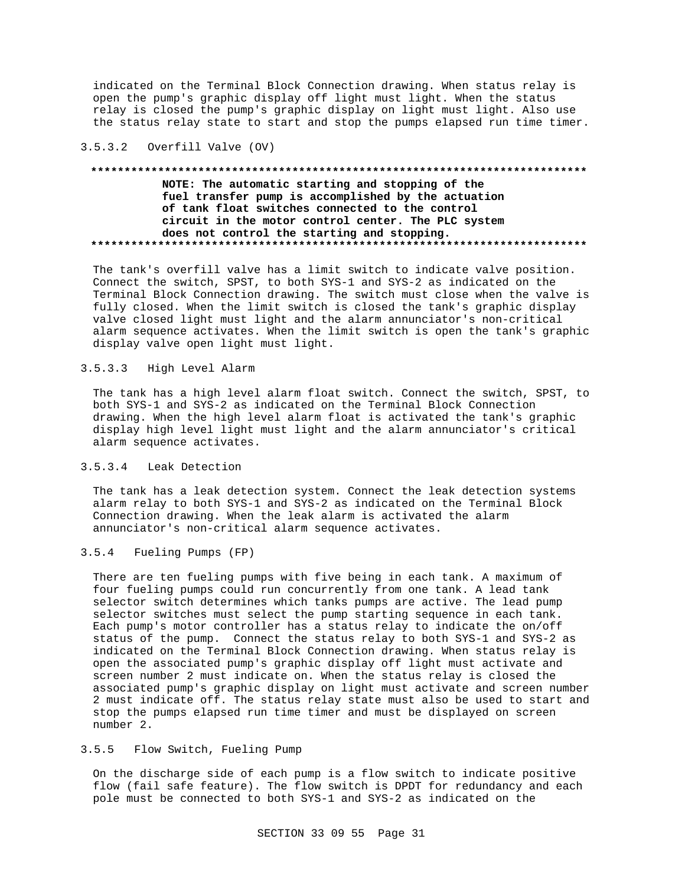indicated on the Terminal Block Connection drawing. When status relay is open the pump's graphic display off light must light. When the status relay is closed the pump's graphic display on light must light. Also use the status relay state to start and stop the pumps elapsed run time timer.

### 3.5.3.2 Overfill Valve (OV)

### **\*\*\*\*\*\*\*\*\*\*\*\*\*\*\*\*\*\*\*\*\*\*\*\*\*\*\*\*\*\*\*\*\*\*\*\*\*\*\*\*\*\*\*\*\*\*\*\*\*\*\*\*\*\*\*\*\*\*\*\*\*\*\*\*\*\*\*\*\*\*\*\*\*\* NOTE: The automatic starting and stopping of the fuel transfer pump is accomplished by the actuation of tank float switches connected to the control circuit in the motor control center. The PLC system does not control the starting and stopping. \*\*\*\*\*\*\*\*\*\*\*\*\*\*\*\*\*\*\*\*\*\*\*\*\*\*\*\*\*\*\*\*\*\*\*\*\*\*\*\*\*\*\*\*\*\*\*\*\*\*\*\*\*\*\*\*\*\*\*\*\*\*\*\*\*\*\*\*\*\*\*\*\*\***

The tank's overfill valve has a limit switch to indicate valve position. Connect the switch, SPST, to both SYS-1 and SYS-2 as indicated on the Terminal Block Connection drawing. The switch must close when the valve is fully closed. When the limit switch is closed the tank's graphic display valve closed light must light and the alarm annunciator's non-critical alarm sequence activates. When the limit switch is open the tank's graphic display valve open light must light.

### 3.5.3.3 High Level Alarm

The tank has a high level alarm float switch. Connect the switch, SPST, to both SYS-1 and SYS-2 as indicated on the Terminal Block Connection drawing. When the high level alarm float is activated the tank's graphic display high level light must light and the alarm annunciator's critical alarm sequence activates.

### 3.5.3.4 Leak Detection

The tank has a leak detection system. Connect the leak detection systems alarm relay to both SYS-1 and SYS-2 as indicated on the Terminal Block Connection drawing. When the leak alarm is activated the alarm annunciator's non-critical alarm sequence activates.

### 3.5.4 Fueling Pumps (FP)

There are ten fueling pumps with five being in each tank. A maximum of four fueling pumps could run concurrently from one tank. A lead tank selector switch determines which tanks pumps are active. The lead pump selector switches must select the pump starting sequence in each tank. Each pump's motor controller has a status relay to indicate the on/off status of the pump. Connect the status relay to both SYS-1 and SYS-2 as indicated on the Terminal Block Connection drawing. When status relay is open the associated pump's graphic display off light must activate and screen number 2 must indicate on. When the status relay is closed the associated pump's graphic display on light must activate and screen number 2 must indicate off. The status relay state must also be used to start and stop the pumps elapsed run time timer and must be displayed on screen number 2.

### 3.5.5 Flow Switch, Fueling Pump

On the discharge side of each pump is a flow switch to indicate positive flow (fail safe feature). The flow switch is DPDT for redundancy and each pole must be connected to both SYS-1 and SYS-2 as indicated on the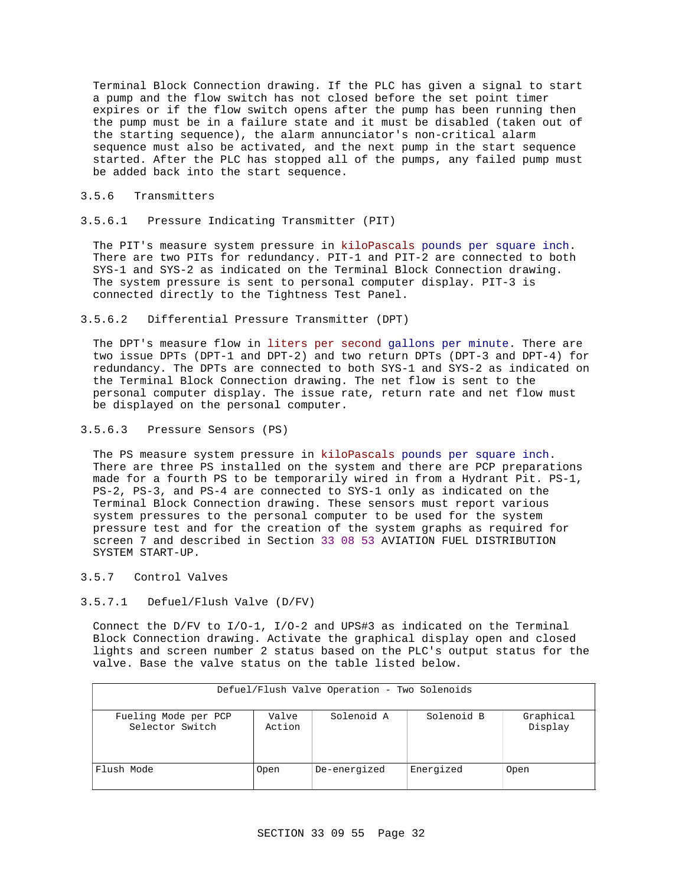Terminal Block Connection drawing. If the PLC has given a signal to start a pump and the flow switch has not closed before the set point timer expires or if the flow switch opens after the pump has been running then the pump must be in a failure state and it must be disabled (taken out of the starting sequence), the alarm annunciator's non-critical alarm sequence must also be activated, and the next pump in the start sequence started. After the PLC has stopped all of the pumps, any failed pump must be added back into the start sequence.

### 3.5.6 Transmitters

3.5.6.1 Pressure Indicating Transmitter (PIT)

The PIT's measure system pressure in kiloPascals pounds per square inch. There are two PITs for redundancy. PIT-1 and PIT-2 are connected to both SYS-1 and SYS-2 as indicated on the Terminal Block Connection drawing. The system pressure is sent to personal computer display. PIT-3 is connected directly to the Tightness Test Panel.

3.5.6.2 Differential Pressure Transmitter (DPT)

The DPT's measure flow in liters per second gallons per minute. There are two issue DPTs (DPT-1 and DPT-2) and two return DPTs (DPT-3 and DPT-4) for redundancy. The DPTs are connected to both SYS-1 and SYS-2 as indicated on the Terminal Block Connection drawing. The net flow is sent to the personal computer display. The issue rate, return rate and net flow must be displayed on the personal computer.

3.5.6.3 Pressure Sensors (PS)

The PS measure system pressure in kiloPascals pounds per square inch. There are three PS installed on the system and there are PCP preparations made for a fourth PS to be temporarily wired in from a Hydrant Pit. PS-1, PS-2, PS-3, and PS-4 are connected to SYS-1 only as indicated on the Terminal Block Connection drawing. These sensors must report various system pressures to the personal computer to be used for the system pressure test and for the creation of the system graphs as required for screen 7 and described in Section 33 08 53 AVIATION FUEL DISTRIBUTION SYSTEM START-UP.

- 3.5.7 Control Valves
- 3.5.7.1 Defuel/Flush Valve (D/FV)

Connect the D/FV to I/O-1, I/O-2 and UPS#3 as indicated on the Terminal Block Connection drawing. Activate the graphical display open and closed lights and screen number 2 status based on the PLC's output status for the valve. Base the valve status on the table listed below.

| DCLUCL/1LUCLI VCLVCLVCVCLUCLI<br>1.00222222 |                 |              |            |                      |  |
|---------------------------------------------|-----------------|--------------|------------|----------------------|--|
| Fueling Mode per PCP<br>Selector Switch     | Valve<br>Action | Solenoid A   | Solenoid B | Graphical<br>Display |  |
| Flush Mode                                  | Open            | De-energized | Energized  | Open                 |  |

# Defuel/Flush Valve Operation - Two Solenoids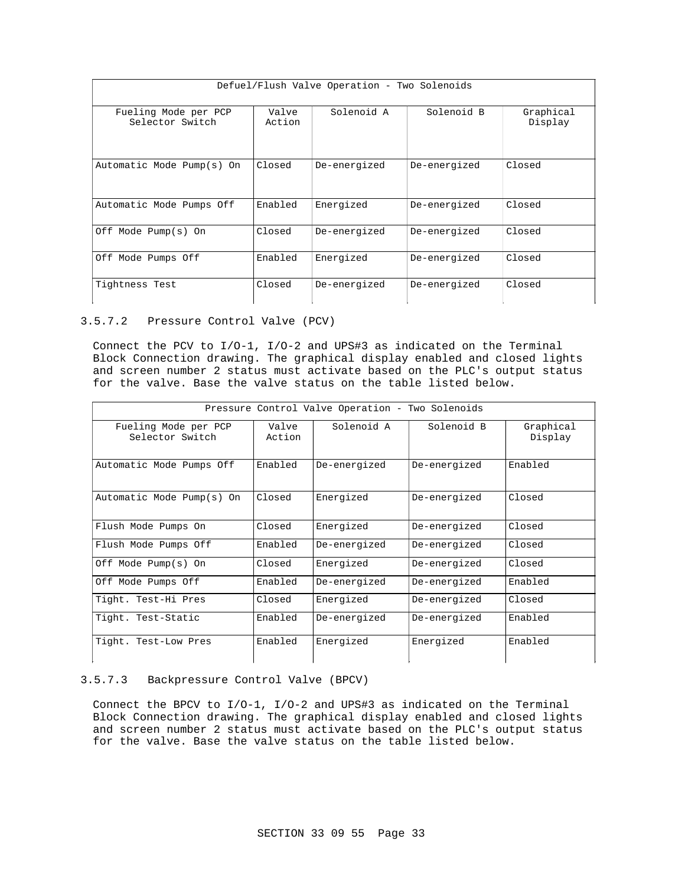| Defuel/Flush Valve Operation - Two Solenoids |                 |              |              |                      |  |
|----------------------------------------------|-----------------|--------------|--------------|----------------------|--|
| Fueling Mode per PCP<br>Selector Switch      | Valve<br>Action | Solenoid A   | Solenoid B   | Graphical<br>Display |  |
| Automatic Mode Pump(s) On                    | Closed          | De-energized | De-energized | Closed               |  |
| Automatic Mode Pumps Off                     | Enabled         | Energized    | De-energized | Closed               |  |
| Off Mode Pump(s) On                          | Closed          | De-energized | De-energized | Closed               |  |
| Off Mode Pumps Off                           | Enabled         | Energized    | De-energized | Closed               |  |
| Tightness Test                               | Closed          | De-energized | De-energized | Closed               |  |

### 3.5.7.2 Pressure Control Valve (PCV)

Connect the PCV to I/O-1, I/O-2 and UPS#3 as indicated on the Terminal Block Connection drawing. The graphical display enabled and closed lights and screen number 2 status must activate based on the PLC's output status for the valve. Base the valve status on the table listed below.

| Pressure Control Valve Operation - Two Solenoids |                 |              |              |                      |
|--------------------------------------------------|-----------------|--------------|--------------|----------------------|
| Fueling Mode per PCP<br>Selector Switch          | Valve<br>Action | Solenoid A   | Solenoid B   | Graphical<br>Display |
| Automatic Mode Pumps Off                         | Enabled         | De-energized | De-energized | Enabled              |
| Automatic Mode Pump(s) On                        | Closed          | Energized    | De-energized | Closed               |
| Flush Mode Pumps On                              | Closed          | Energized    | De-energized | Closed               |
| Flush Mode Pumps Off                             | Enabled         | De-energized | De-energized | Closed               |
| Off Mode Pump(s) On                              | Closed          | Energized    | De-energized | Closed               |
| Off Mode Pumps Off                               | Enabled         | De-energized | De-energized | Enabled              |
| Tight. Test-Hi Pres                              | Closed          | Energized    | De-energized | Closed               |
| Tight. Test-Static                               | Enabled         | De-energized | De-energized | Enabled              |
| Tight. Test-Low Pres                             | Enabled         | Energized    | Energized    | Enabled              |

### 3.5.7.3 Backpressure Control Valve (BPCV)

Connect the BPCV to I/O-1, I/O-2 and UPS#3 as indicated on the Terminal Block Connection drawing. The graphical display enabled and closed lights and screen number 2 status must activate based on the PLC's output status for the valve. Base the valve status on the table listed below.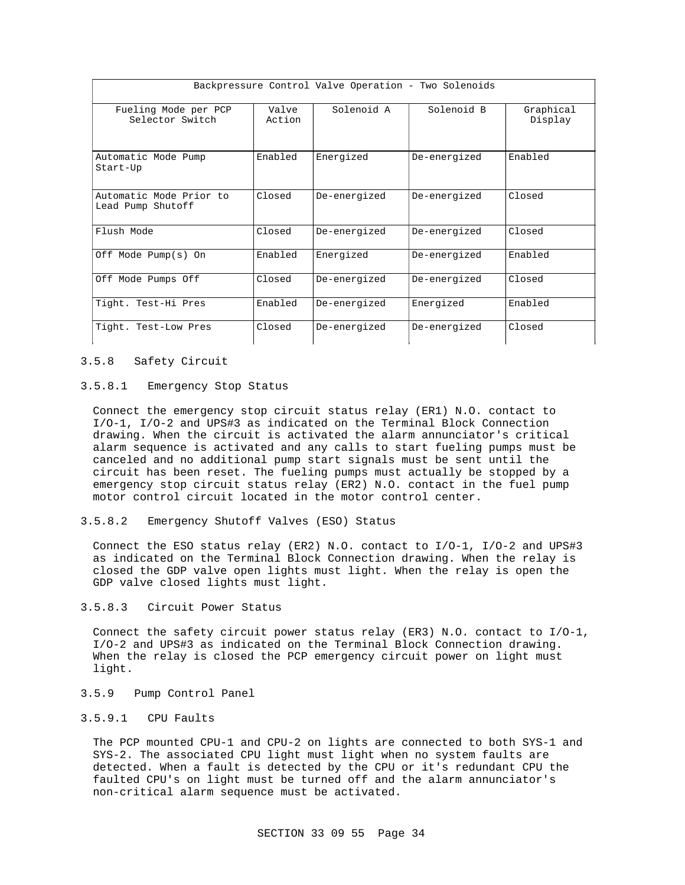| Backpressure Control Valve Operation - Two Solenoids |                 |              |              |                      |
|------------------------------------------------------|-----------------|--------------|--------------|----------------------|
| Fueling Mode per PCP<br>Selector Switch              | Valve<br>Action | Solenoid A   | Solenoid B   | Graphical<br>Display |
| Automatic Mode Pump<br>Start-Up                      | Enabled         | Energized    | De-energized | Enabled              |
| Automatic Mode Prior to<br>Lead Pump Shutoff         | Closed          | De-energized | De-energized | Closed               |
| Flush Mode                                           | Closed          | De-energized | De-energized | Closed               |
| Off Mode Pump(s) On                                  | Enabled         | Energized    | De-energized | Enabled              |
| Off Mode Pumps Off                                   | Closed          | De-energized | De-energized | Closed               |
| Tight. Test-Hi Pres                                  | Enabled         | De-energized | Energized    | Enabled              |
| Tight. Test-Low Pres                                 | Closed          | De-energized | De-energized | Closed               |

#### 3.5.8 Safety Circuit

#### 3.5.8.1 Emergency Stop Status

Connect the emergency stop circuit status relay (ER1) N.O. contact to I/O-1, I/O-2 and UPS#3 as indicated on the Terminal Block Connection drawing. When the circuit is activated the alarm annunciator's critical alarm sequence is activated and any calls to start fueling pumps must be canceled and no additional pump start signals must be sent until the circuit has been reset. The fueling pumps must actually be stopped by a emergency stop circuit status relay (ER2) N.O. contact in the fuel pump motor control circuit located in the motor control center.

3.5.8.2 Emergency Shutoff Valves (ESO) Status

Connect the ESO status relay (ER2) N.O. contact to I/O-1, I/O-2 and UPS#3 as indicated on the Terminal Block Connection drawing. When the relay is closed the GDP valve open lights must light. When the relay is open the GDP valve closed lights must light.

### 3.5.8.3 Circuit Power Status

Connect the safety circuit power status relay (ER3) N.O. contact to I/O-1, I/O-2 and UPS#3 as indicated on the Terminal Block Connection drawing. When the relay is closed the PCP emergency circuit power on light must light.

3.5.9 Pump Control Panel

## 3.5.9.1 CPU Faults

The PCP mounted CPU-1 and CPU-2 on lights are connected to both SYS-1 and SYS-2. The associated CPU light must light when no system faults are detected. When a fault is detected by the CPU or it's redundant CPU the faulted CPU's on light must be turned off and the alarm annunciator's non-critical alarm sequence must be activated.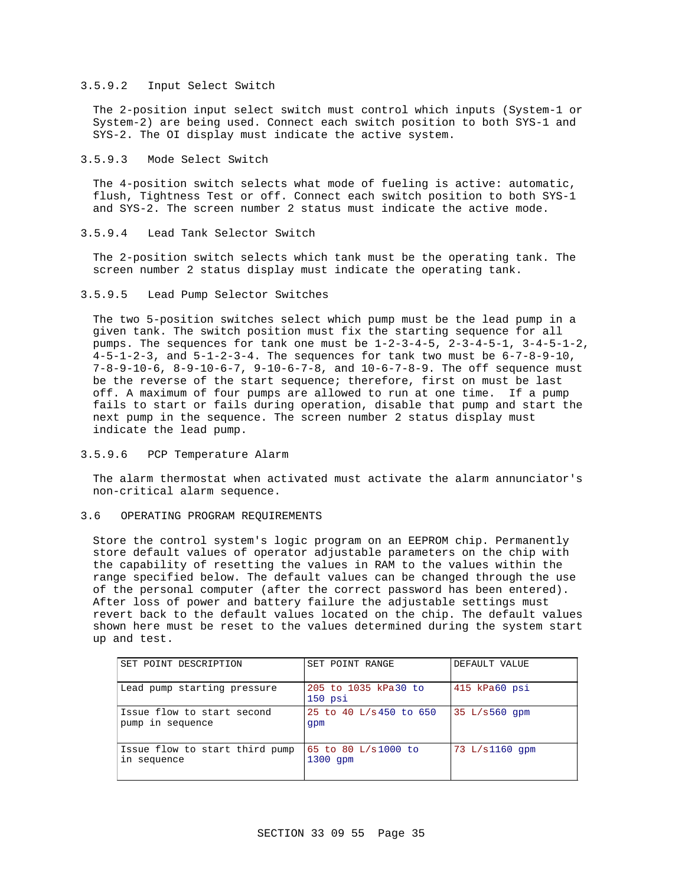### 3.5.9.2 Input Select Switch

The 2-position input select switch must control which inputs (System-1 or System-2) are being used. Connect each switch position to both SYS-1 and SYS-2. The OI display must indicate the active system.

#### 3.5.9.3 Mode Select Switch

The 4-position switch selects what mode of fueling is active: automatic, flush, Tightness Test or off. Connect each switch position to both SYS-1 and SYS-2. The screen number 2 status must indicate the active mode.

#### 3.5.9.4 Lead Tank Selector Switch

The 2-position switch selects which tank must be the operating tank. The screen number 2 status display must indicate the operating tank.

### 3.5.9.5 Lead Pump Selector Switches

The two 5-position switches select which pump must be the lead pump in a given tank. The switch position must fix the starting sequence for all pumps. The sequences for tank one must be  $1-2-3-4-5$ ,  $2-3-4-5-1$ ,  $3-4-5-1-2$ , 4-5-1-2-3, and 5-1-2-3-4. The sequences for tank two must be 6-7-8-9-10, 7-8-9-10-6, 8-9-10-6-7, 9-10-6-7-8, and 10-6-7-8-9. The off sequence must be the reverse of the start sequence; therefore, first on must be last off. A maximum of four pumps are allowed to run at one time. If a pump fails to start or fails during operation, disable that pump and start the next pump in the sequence. The screen number 2 status display must indicate the lead pump.

### 3.5.9.6 PCP Temperature Alarm

The alarm thermostat when activated must activate the alarm annunciator's non-critical alarm sequence.

#### 3.6 OPERATING PROGRAM REQUIREMENTS

Store the control system's logic program on an EEPROM chip. Permanently store default values of operator adjustable parameters on the chip with the capability of resetting the values in RAM to the values within the range specified below. The default values can be changed through the use of the personal computer (after the correct password has been entered). After loss of power and battery failure the adjustable settings must revert back to the default values located on the chip. The default values shown here must be reset to the values determined during the system start up and test.

| SET POINT DESCRIPTION                          | SET POINT RANGE                   | DEFAULT VALUE   |
|------------------------------------------------|-----------------------------------|-----------------|
| Lead pump starting pressure                    | 205 to 1035 kPa30 to<br>$150$ psi | 415 kPa60 psi   |
| Issue flow to start second<br>pump in sequence | 25 to 40 L/s 450 to 650<br>qpm    | $35 L/s560$ qpm |
| Issue flow to start third pump<br>in sequence  | 65 to 80 L/s1000 to<br>$1300$ qpm | 73 L/s1160 qpm  |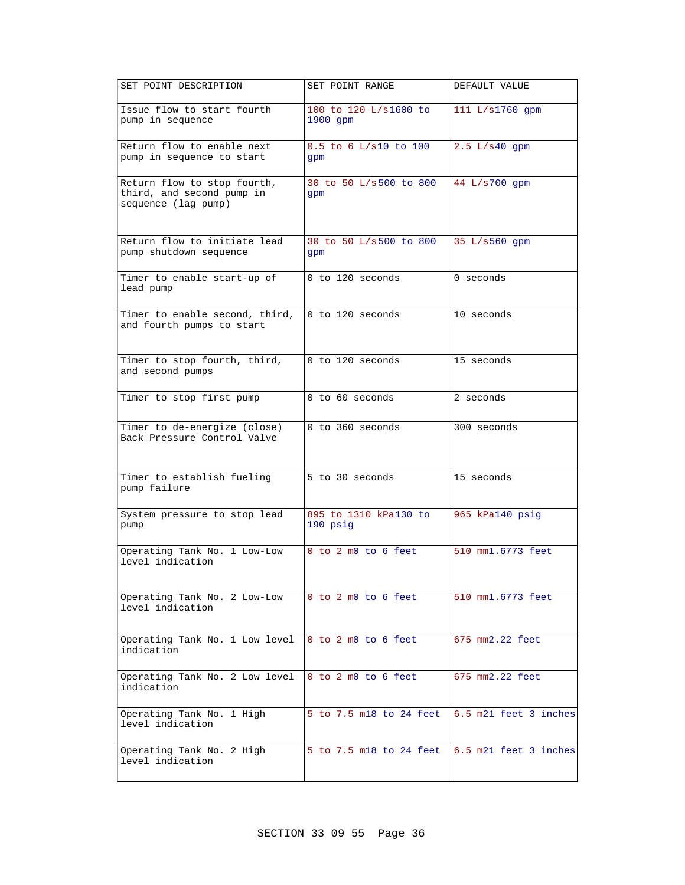| SET POINT DESCRIPTION                                                           | SET POINT RANGE                     | DEFAULT VALUE         |
|---------------------------------------------------------------------------------|-------------------------------------|-----------------------|
| Issue flow to start fourth<br>pump in sequence                                  | 100 to 120 L/s1600 to<br>$1900$ gpm | 111 L/s1760 gpm       |
| Return flow to enable next<br>pump in sequence to start                         | 0.5 to 6 L/s10 to 100<br>qpm        | 2.5 L/s40 gpm         |
| Return flow to stop fourth,<br>third, and second pump in<br>sequence (lag pump) | 30 to 50 L/s500 to 800<br>qpm       | 44 L/s700 qpm         |
| Return flow to initiate lead<br>pump shutdown sequence                          | 30 to 50 L/s500 to 800<br>gpm       | 35 L/s560 gpm         |
| Timer to enable start-up of<br>lead pump                                        | 0 to 120 seconds                    | 0 seconds             |
| Timer to enable second, third,<br>and fourth pumps to start                     | 0 to 120 seconds                    | 10 seconds            |
| Timer to stop fourth, third,<br>and second pumps                                | 0 to 120 seconds                    | 15 seconds            |
| Timer to stop first pump                                                        | 0 to 60 seconds                     | 2 seconds             |
| Timer to de-energize (close)<br>Back Pressure Control Valve                     | 0 to 360 seconds                    | 300 seconds           |
| Timer to establish fueling<br>pump failure                                      | 5 to 30 seconds                     | 15 seconds            |
| System pressure to stop lead<br>pump                                            | 895 to 1310 kPa130 to<br>190 psig   | 965 kPa140 psig       |
| Operating Tank No. 1 Low-Low<br>level indication                                | $0$ to $2$ m $0$ to $6$ feet        | 510 mm1.6773 feet     |
| Operating Tank No. 2 Low-Low<br>level indication                                | 0 to 2 m0 to 6 feet                 | 510 mm1.6773 feet     |
| Operating Tank No. 1 Low level<br>indication                                    | 0 to 2 m0 to 6 feet                 | 675 mm2.22 feet       |
| Operating Tank No. 2 Low level<br>indication                                    | 0 to 2 m0 to 6 feet                 | 675 mm2.22 feet       |
| Operating Tank No. 1 High<br>level indication                                   | 5 to 7.5 m18 to 24 feet             | 6.5 m21 feet 3 inches |
| Operating Tank No. 2 High<br>level indication                                   | 5 to 7.5 m18 to 24 feet             | 6.5 m21 feet 3 inches |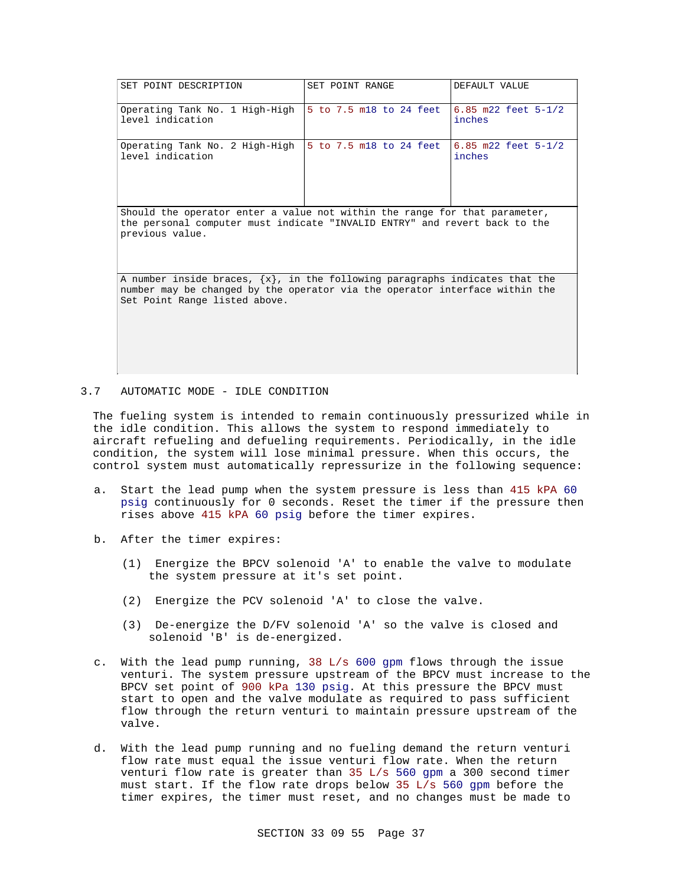| SET POINT DESCRIPTION                                                                                                                                                                            | SET POINT RANGE         | DEFAULT VALUE                 |  |
|--------------------------------------------------------------------------------------------------------------------------------------------------------------------------------------------------|-------------------------|-------------------------------|--|
| Operating Tank No. 1 High-High<br>level indication                                                                                                                                               | 5 to 7.5 m18 to 24 feet | 6.85 m22 feet 5-1/2<br>inches |  |
| Operating Tank No. 2 High-High<br>level indication                                                                                                                                               | 5 to 7.5 m18 to 24 feet | 6.85 m22 feet 5-1/2<br>inches |  |
| Should the operator enter a value not within the range for that parameter,<br>the personal computer must indicate "INVALID ENTRY" and revert back to the<br>previous value.                      |                         |                               |  |
| A number inside braces, $\{x\}$ , in the following paragraphs indicates that the<br>number may be changed by the operator via the operator interface within the<br>Set Point Range listed above. |                         |                               |  |

#### 3.7 AUTOMATIC MODE - IDLE CONDITION

The fueling system is intended to remain continuously pressurized while in the idle condition. This allows the system to respond immediately to aircraft refueling and defueling requirements. Periodically, in the idle condition, the system will lose minimal pressure. When this occurs, the control system must automatically repressurize in the following sequence:

- a. Start the lead pump when the system pressure is less than 415 kPA 60 psig continuously for 0 seconds. Reset the timer if the pressure then rises above 415 kPA 60 psig before the timer expires.
- b. After the timer expires:
	- (1) Energize the BPCV solenoid 'A' to enable the valve to modulate the system pressure at it's set point.
	- (2) Energize the PCV solenoid 'A' to close the valve.
	- (3) De-energize the D/FV solenoid 'A' so the valve is closed and solenoid 'B' is de-energized.
- c. With the lead pump running, 38 L/s 600 gpm flows through the issue venturi. The system pressure upstream of the BPCV must increase to the BPCV set point of 900 kPa 130 psig. At this pressure the BPCV must start to open and the valve modulate as required to pass sufficient flow through the return venturi to maintain pressure upstream of the valve.
- d. With the lead pump running and no fueling demand the return venturi flow rate must equal the issue venturi flow rate. When the return venturi flow rate is greater than 35 L/s 560 gpm a 300 second timer must start. If the flow rate drops below 35 L/s 560 gpm before the timer expires, the timer must reset, and no changes must be made to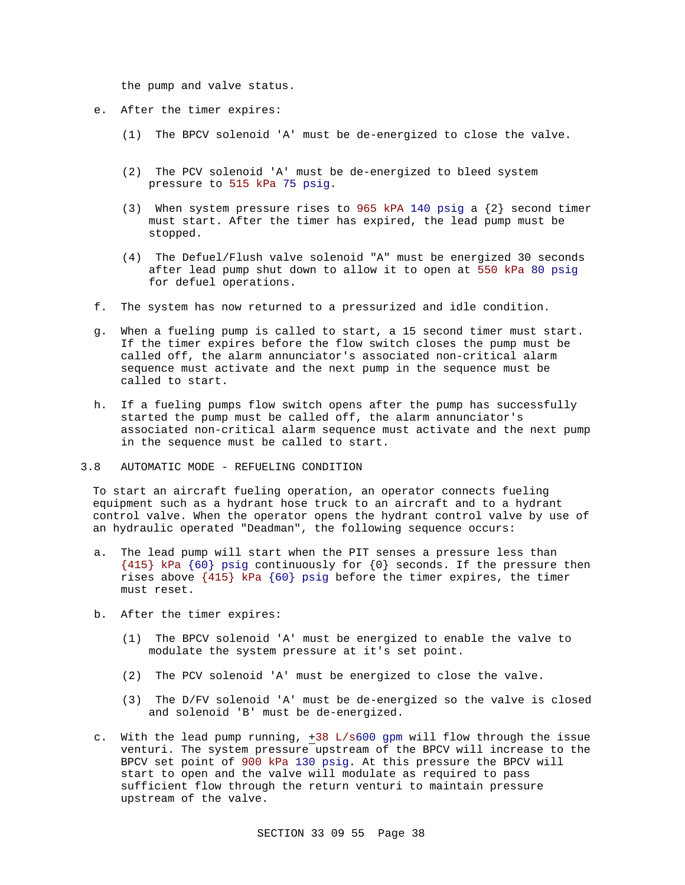the pump and valve status.

- e. After the timer expires:
	- (1) The BPCV solenoid 'A' must be de-energized to close the valve.
	- (2) The PCV solenoid 'A' must be de-energized to bleed system pressure to 515 kPa 75 psig.
	- (3) When system pressure rises to 965 kPA 140 psig a  $\{2\}$  second timer must start. After the timer has expired, the lead pump must be stopped.
	- (4) The Defuel/Flush valve solenoid "A" must be energized 30 seconds after lead pump shut down to allow it to open at 550 kPa 80 psig for defuel operations.
- f. The system has now returned to a pressurized and idle condition.
- g. When a fueling pump is called to start, a 15 second timer must start. If the timer expires before the flow switch closes the pump must be called off, the alarm annunciator's associated non-critical alarm sequence must activate and the next pump in the sequence must be called to start.
- h. If a fueling pumps flow switch opens after the pump has successfully started the pump must be called off, the alarm annunciator's associated non-critical alarm sequence must activate and the next pump in the sequence must be called to start.
- 3.8 AUTOMATIC MODE REFUELING CONDITION

To start an aircraft fueling operation, an operator connects fueling equipment such as a hydrant hose truck to an aircraft and to a hydrant control valve. When the operator opens the hydrant control valve by use of an hydraulic operated "Deadman", the following sequence occurs:

- a. The lead pump will start when the PIT senses a pressure less than  ${415}$  kPa  ${60}$  psig continuously for  ${0}$  seconds. If the pressure then rises above {415} kPa {60} psig before the timer expires, the timer must reset.
- b. After the timer expires:
	- (1) The BPCV solenoid 'A' must be energized to enable the valve to modulate the system pressure at it's set point.
	- (2) The PCV solenoid 'A' must be energized to close the valve.
	- (3) The D/FV solenoid 'A' must be de-energized so the valve is closed and solenoid 'B' must be de-energized.
- c. With the lead pump running,  $+38$  L/s600 gpm will flow through the issue venturi. The system pressure upstream of the BPCV will increase to the BPCV set point of 900 kPa 130 psig. At this pressure the BPCV will start to open and the valve will modulate as required to pass sufficient flow through the return venturi to maintain pressure upstream of the valve.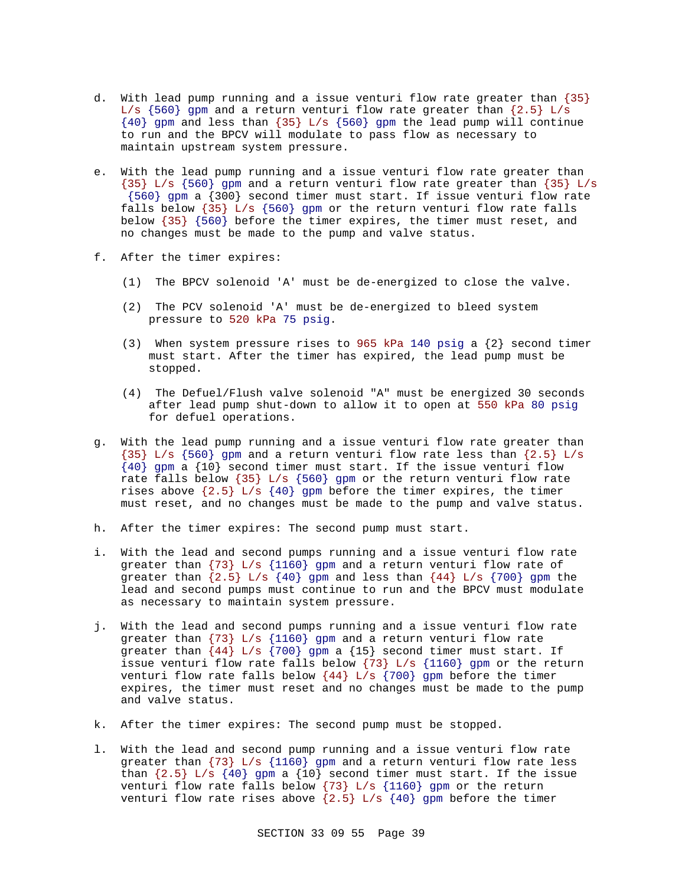- d. With lead pump running and a issue venturi flow rate greater than {35} L/s  $\{560\}$  gpm and a return venturi flow rate greater than  $\{2.5\}$  L/s {40} gpm and less than {35} L/s {560} gpm the lead pump will continue to run and the BPCV will modulate to pass flow as necessary to maintain upstream system pressure.
- e. With the lead pump running and a issue venturi flow rate greater than {35} L/s {560} gpm and a return venturi flow rate greater than {35} L/s {560} gpm a {300} second timer must start. If issue venturi flow rate falls below  $\{35\}$  L/s  $\{560\}$  gpm or the return venturi flow rate falls below {35} {560} before the timer expires, the timer must reset, and no changes must be made to the pump and valve status.
- f. After the timer expires:
	- (1) The BPCV solenoid 'A' must be de-energized to close the valve.
	- (2) The PCV solenoid 'A' must be de-energized to bleed system pressure to 520 kPa 75 psig.
	- (3) When system pressure rises to 965 kPa 140 psig a  $\{2\}$  second timer must start. After the timer has expired, the lead pump must be stopped.
	- (4) The Defuel/Flush valve solenoid "A" must be energized 30 seconds after lead pump shut-down to allow it to open at 550 kPa 80 psig for defuel operations.
- g. With the lead pump running and a issue venturi flow rate greater than  ${35}$  L/s  ${560}$  gpm and a return venturi flow rate less than  ${2.5}$  L/s  ${40}$  gpm a  ${10}$  second timer must start. If the issue venturi flow rate falls below  $\{35\}$  L/s  $\{560\}$  gpm or the return venturi flow rate rises above  $\{2.5\}$  L/s  $\{40\}$  gpm before the timer expires, the timer must reset, and no changes must be made to the pump and valve status.
- h. After the timer expires: The second pump must start.
- i. With the lead and second pumps running and a issue venturi flow rate greater than {73} L/s {1160} gpm and a return venturi flow rate of greater than  $\{2.5\}$  L/s  $\{40\}$  gpm and less than  $\{44\}$  L/s  $\{700\}$  gpm the lead and second pumps must continue to run and the BPCV must modulate as necessary to maintain system pressure.
- j. With the lead and second pumps running and a issue venturi flow rate greater than  $\{73\}$  L/s  $\{1160\}$  gpm and a return venturi flow rate greater than  $\{44\}$  L/s  $\{700\}$  gpm a  $\{15\}$  second timer must start. If issue venturi flow rate falls below  $\{73\}$  L/s  $\{1160\}$  gpm or the return venturi flow rate falls below  $\{44\}$  L/s  $\{700\}$  gpm before the timer expires, the timer must reset and no changes must be made to the pump and valve status.
- k. After the timer expires: The second pump must be stopped.
- l. With the lead and second pump running and a issue venturi flow rate greater than  $\{73\}$  L/s  $\{1160\}$  gpm and a return venturi flow rate less than  $\{2.5\}$  L/s  $\{40\}$  gpm a  $\{10\}$  second timer must start. If the issue venturi flow rate falls below  $\{73\}$  L/s  $\{1160\}$  gpm or the return venturi flow rate rises above  $\{2.5\}$  L/s  $\{40\}$  gpm before the timer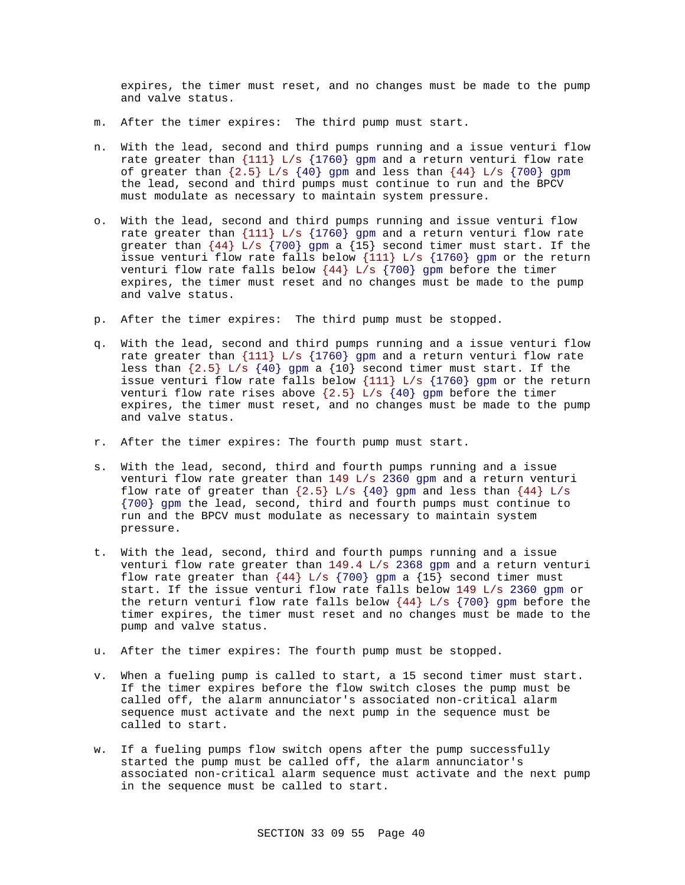expires, the timer must reset, and no changes must be made to the pump and valve status.

- m. After the timer expires: The third pump must start.
- n. With the lead, second and third pumps running and a issue venturi flow rate greater than  $\{111\}$  L/s  $\{1760\}$  gpm and a return venturi flow rate of greater than  $\{2.5\}$  L/s  $\{40\}$  gpm and less than  $\{44\}$  L/s  $\{700\}$  gpm the lead, second and third pumps must continue to run and the BPCV must modulate as necessary to maintain system pressure.
- o. With the lead, second and third pumps running and issue venturi flow rate greater than  $\{111\}$  L/s  $\{1760\}$  gpm and a return venturi flow rate greater than  $\{44\}$  L/s  $\{700\}$  gpm a  $\{15\}$  second timer must start. If the issue venturi flow rate falls below {111} L/s {1760} gpm or the return venturi flow rate falls below  $\{44\}$  L/s  $\{700\}$  gpm before the timer expires, the timer must reset and no changes must be made to the pump and valve status.
- p. After the timer expires: The third pump must be stopped.
- q. With the lead, second and third pumps running and a issue venturi flow rate greater than  $\{111\}$  L/s  $\{1760\}$  gpm and a return venturi flow rate less than  $\{2.5\}$  L/s  $\{40\}$  gpm a  $\{10\}$  second timer must start. If the issue venturi flow rate falls below  $\{111\}$  L/s  $\{1760\}$  gpm or the return venturi flow rate rises above  $\{2.5\}$  L/s  $\{40\}$  gpm before the timer expires, the timer must reset, and no changes must be made to the pump and valve status.
- r. After the timer expires: The fourth pump must start.
- s. With the lead, second, third and fourth pumps running and a issue venturi flow rate greater than 149 L/s 2360 gpm and a return venturi flow rate of greater than  $\{2.5\}$  L/s  $\{40\}$  gpm and less than  $\{44\}$  L/s {700} gpm the lead, second, third and fourth pumps must continue to run and the BPCV must modulate as necessary to maintain system pressure.
- t. With the lead, second, third and fourth pumps running and a issue venturi flow rate greater than 149.4 L/s 2368 gpm and a return venturi flow rate greater than  $\{44\}$  L/s  $\{700\}$  gpm a  $\{15\}$  second timer must start. If the issue venturi flow rate falls below 149 L/s 2360 gpm or the return venturi flow rate falls below  $\{44\}$  L/s  $\{700\}$  gpm before the timer expires, the timer must reset and no changes must be made to the pump and valve status.
- u. After the timer expires: The fourth pump must be stopped.
- v. When a fueling pump is called to start, a 15 second timer must start. If the timer expires before the flow switch closes the pump must be called off, the alarm annunciator's associated non-critical alarm sequence must activate and the next pump in the sequence must be called to start.
- w. If a fueling pumps flow switch opens after the pump successfully started the pump must be called off, the alarm annunciator's associated non-critical alarm sequence must activate and the next pump in the sequence must be called to start.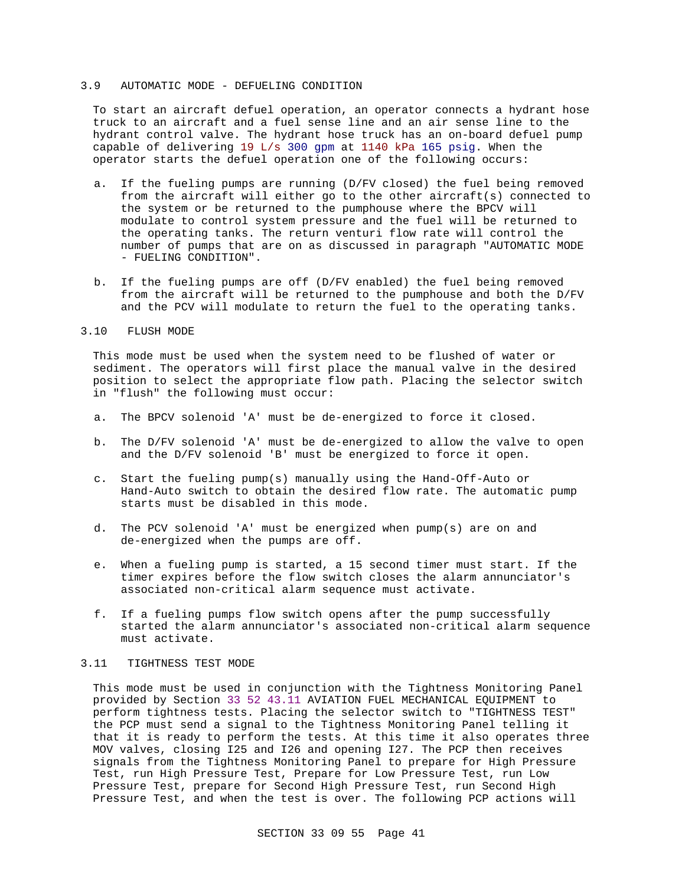#### 3.9 AUTOMATIC MODE - DEFUELING CONDITION

To start an aircraft defuel operation, an operator connects a hydrant hose truck to an aircraft and a fuel sense line and an air sense line to the hydrant control valve. The hydrant hose truck has an on-board defuel pump capable of delivering 19 L/s 300 gpm at 1140 kPa 165 psig. When the operator starts the defuel operation one of the following occurs:

- a. If the fueling pumps are running (D/FV closed) the fuel being removed from the aircraft will either go to the other aircraft(s) connected to the system or be returned to the pumphouse where the BPCV will modulate to control system pressure and the fuel will be returned to the operating tanks. The return venturi flow rate will control the number of pumps that are on as discussed in paragraph "AUTOMATIC MODE - FUELING CONDITION".
- b. If the fueling pumps are off (D/FV enabled) the fuel being removed from the aircraft will be returned to the pumphouse and both the D/FV and the PCV will modulate to return the fuel to the operating tanks.

### 3.10 FLUSH MODE

This mode must be used when the system need to be flushed of water or sediment. The operators will first place the manual valve in the desired position to select the appropriate flow path. Placing the selector switch in "flush" the following must occur:

- a. The BPCV solenoid 'A' must be de-energized to force it closed.
- b. The D/FV solenoid 'A' must be de-energized to allow the valve to open and the D/FV solenoid 'B' must be energized to force it open.
- c. Start the fueling pump(s) manually using the Hand-Off-Auto or Hand-Auto switch to obtain the desired flow rate. The automatic pump starts must be disabled in this mode.
- d. The PCV solenoid 'A' must be energized when pump(s) are on and de-energized when the pumps are off.
- e. When a fueling pump is started, a 15 second timer must start. If the timer expires before the flow switch closes the alarm annunciator's associated non-critical alarm sequence must activate.
- f. If a fueling pumps flow switch opens after the pump successfully started the alarm annunciator's associated non-critical alarm sequence must activate.

#### 3.11 TIGHTNESS TEST MODE

This mode must be used in conjunction with the Tightness Monitoring Panel provided by Section 33 52 43.11 AVIATION FUEL MECHANICAL EQUIPMENT to perform tightness tests. Placing the selector switch to "TIGHTNESS TEST" the PCP must send a signal to the Tightness Monitoring Panel telling it that it is ready to perform the tests. At this time it also operates three MOV valves, closing I25 and I26 and opening I27. The PCP then receives signals from the Tightness Monitoring Panel to prepare for High Pressure Test, run High Pressure Test, Prepare for Low Pressure Test, run Low Pressure Test, prepare for Second High Pressure Test, run Second High Pressure Test, and when the test is over. The following PCP actions will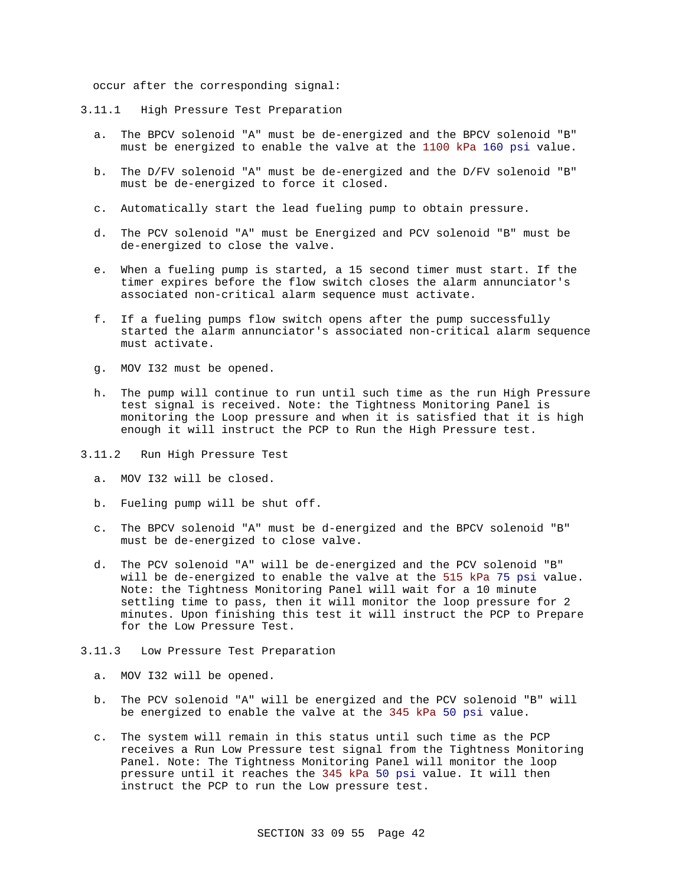occur after the corresponding signal:

- 3.11.1 High Pressure Test Preparation
	- a. The BPCV solenoid "A" must be de-energized and the BPCV solenoid "B" must be energized to enable the valve at the 1100 kPa 160 psi value.
	- b. The D/FV solenoid "A" must be de-energized and the D/FV solenoid "B" must be de-energized to force it closed.
	- c. Automatically start the lead fueling pump to obtain pressure.
	- d. The PCV solenoid "A" must be Energized and PCV solenoid "B" must be de-energized to close the valve.
	- e. When a fueling pump is started, a 15 second timer must start. If the timer expires before the flow switch closes the alarm annunciator's associated non-critical alarm sequence must activate.
	- f. If a fueling pumps flow switch opens after the pump successfully started the alarm annunciator's associated non-critical alarm sequence must activate.
	- g. MOV I32 must be opened.
	- h. The pump will continue to run until such time as the run High Pressure test signal is received. Note: the Tightness Monitoring Panel is monitoring the Loop pressure and when it is satisfied that it is high enough it will instruct the PCP to Run the High Pressure test.
- 3.11.2 Run High Pressure Test
	- a. MOV I32 will be closed.
	- b. Fueling pump will be shut off.
	- c. The BPCV solenoid "A" must be d-energized and the BPCV solenoid "B" must be de-energized to close valve.
	- d. The PCV solenoid "A" will be de-energized and the PCV solenoid "B" will be de-energized to enable the valve at the 515 kPa 75 psi value. Note: the Tightness Monitoring Panel will wait for a 10 minute settling time to pass, then it will monitor the loop pressure for 2 minutes. Upon finishing this test it will instruct the PCP to Prepare for the Low Pressure Test.
- 3.11.3 Low Pressure Test Preparation
	- a. MOV I32 will be opened.
	- b. The PCV solenoid "A" will be energized and the PCV solenoid "B" will be energized to enable the valve at the 345 kPa 50 psi value.
	- c. The system will remain in this status until such time as the PCP receives a Run Low Pressure test signal from the Tightness Monitoring Panel. Note: The Tightness Monitoring Panel will monitor the loop pressure until it reaches the 345 kPa 50 psi value. It will then instruct the PCP to run the Low pressure test.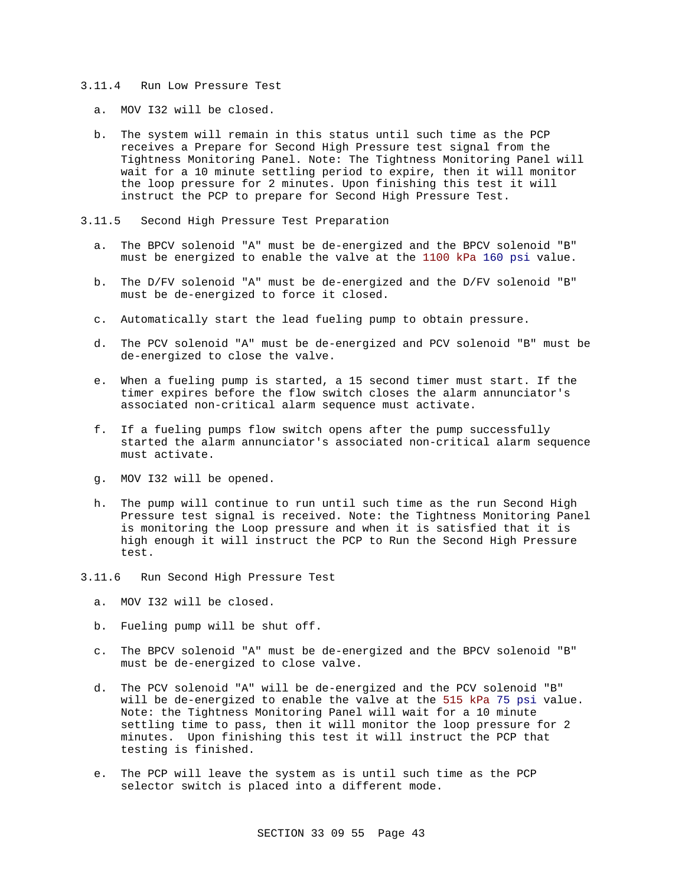#### 3.11.4 Run Low Pressure Test

- a. MOV I32 will be closed.
- b. The system will remain in this status until such time as the PCP receives a Prepare for Second High Pressure test signal from the Tightness Monitoring Panel. Note: The Tightness Monitoring Panel will wait for a 10 minute settling period to expire, then it will monitor the loop pressure for 2 minutes. Upon finishing this test it will instruct the PCP to prepare for Second High Pressure Test.
- 3.11.5 Second High Pressure Test Preparation
	- a. The BPCV solenoid "A" must be de-energized and the BPCV solenoid "B" must be energized to enable the valve at the 1100 kPa 160 psi value.
	- b. The D/FV solenoid "A" must be de-energized and the D/FV solenoid "B" must be de-energized to force it closed.
	- c. Automatically start the lead fueling pump to obtain pressure.
	- d. The PCV solenoid "A" must be de-energized and PCV solenoid "B" must be de-energized to close the valve.
	- e. When a fueling pump is started, a 15 second timer must start. If the timer expires before the flow switch closes the alarm annunciator's associated non-critical alarm sequence must activate.
	- f. If a fueling pumps flow switch opens after the pump successfully started the alarm annunciator's associated non-critical alarm sequence must activate.
	- g. MOV I32 will be opened.
	- h. The pump will continue to run until such time as the run Second High Pressure test signal is received. Note: the Tightness Monitoring Panel is monitoring the Loop pressure and when it is satisfied that it is high enough it will instruct the PCP to Run the Second High Pressure test.
- 3.11.6 Run Second High Pressure Test
	- a. MOV I32 will be closed.
	- b. Fueling pump will be shut off.
	- c. The BPCV solenoid "A" must be de-energized and the BPCV solenoid "B" must be de-energized to close valve.
	- d. The PCV solenoid "A" will be de-energized and the PCV solenoid "B" will be de-energized to enable the valve at the 515 kPa 75 psi value. Note: the Tightness Monitoring Panel will wait for a 10 minute settling time to pass, then it will monitor the loop pressure for 2 minutes. Upon finishing this test it will instruct the PCP that testing is finished.
	- e. The PCP will leave the system as is until such time as the PCP selector switch is placed into a different mode.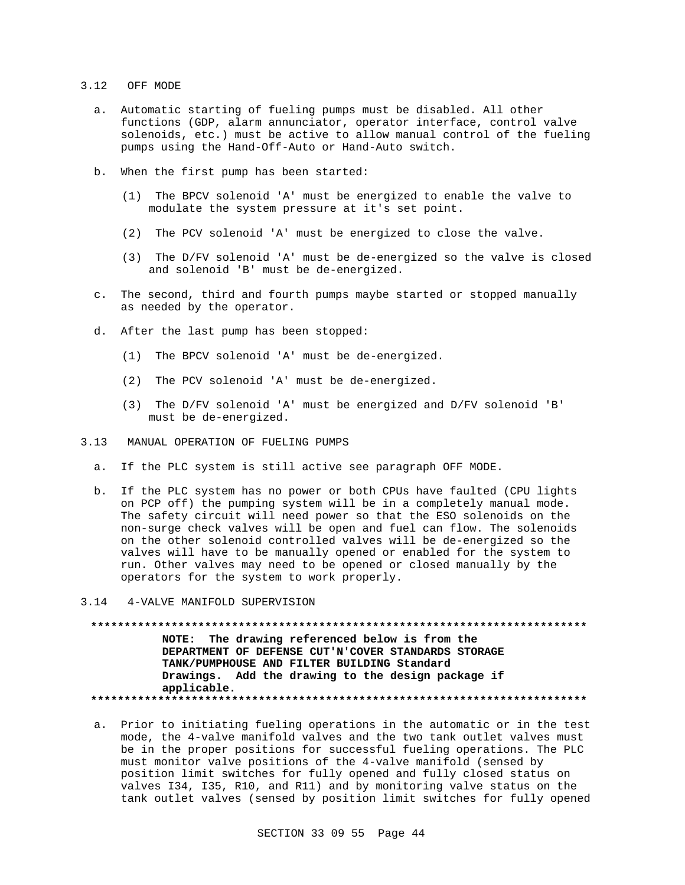#### 3.12 OFF MODE

- a. Automatic starting of fueling pumps must be disabled. All other functions (GDP, alarm annunciator, operator interface, control valve solenoids, etc.) must be active to allow manual control of the fueling pumps using the Hand-Off-Auto or Hand-Auto switch.
- b. When the first pump has been started:
	- (1) The BPCV solenoid 'A' must be energized to enable the valve to modulate the system pressure at it's set point.
	- (2) The PCV solenoid 'A' must be energized to close the valve.
	- (3) The D/FV solenoid 'A' must be de-energized so the valve is closed and solenoid 'B' must be de-energized.
- c. The second, third and fourth pumps maybe started or stopped manually as needed by the operator.
- d. After the last pump has been stopped:
	- (1) The BPCV solenoid 'A' must be de-energized.
	- (2) The PCV solenoid 'A' must be de-energized.
	- (3) The D/FV solenoid 'A' must be energized and D/FV solenoid 'B' must be de-energized.
- 3.13 MANUAL OPERATION OF FUELING PUMPS
	- a. If the PLC system is still active see paragraph OFF MODE.
	- b. If the PLC system has no power or both CPUs have faulted (CPU lights on PCP off) the pumping system will be in a completely manual mode. The safety circuit will need power so that the ESO solenoids on the non-surge check valves will be open and fuel can flow. The solenoids on the other solenoid controlled valves will be de-energized so the valves will have to be manually opened or enabled for the system to run. Other valves may need to be opened or closed manually by the operators for the system to work properly.

#### 3.14 4-VALVE MANIFOLD SUPERVISION

**\*\*\*\*\*\*\*\*\*\*\*\*\*\*\*\*\*\*\*\*\*\*\*\*\*\*\*\*\*\*\*\*\*\*\*\*\*\*\*\*\*\*\*\*\*\*\*\*\*\*\*\*\*\*\*\*\*\*\*\*\*\*\*\*\*\*\*\*\*\*\*\*\*\* NOTE: The drawing referenced below is from the DEPARTMENT OF DEFENSE CUT'N'COVER STANDARDS STORAGE TANK/PUMPHOUSE AND FILTER BUILDING Standard Drawings. Add the drawing to the design package if applicable. \*\*\*\*\*\*\*\*\*\*\*\*\*\*\*\*\*\*\*\*\*\*\*\*\*\*\*\*\*\*\*\*\*\*\*\*\*\*\*\*\*\*\*\*\*\*\*\*\*\*\*\*\*\*\*\*\*\*\*\*\*\*\*\*\*\*\*\*\*\*\*\*\*\***

a. Prior to initiating fueling operations in the automatic or in the test mode, the 4-valve manifold valves and the two tank outlet valves must be in the proper positions for successful fueling operations. The PLC must monitor valve positions of the 4-valve manifold (sensed by position limit switches for fully opened and fully closed status on valves I34, I35, R10, and R11) and by monitoring valve status on the tank outlet valves (sensed by position limit switches for fully opened